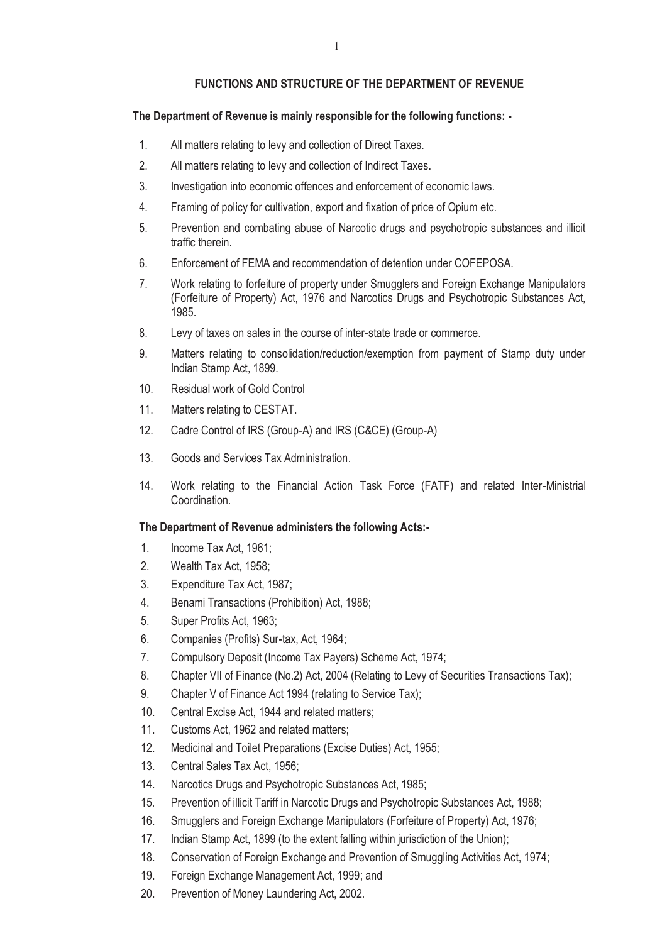#### **FUNCTIONS AND STRUCTURE OF THE DEPARTMENT OF REVENUE**

#### **The Department of Revenue is mainly responsible for the following functions: -**

- 1. All matters relating to levy and collection of Direct Taxes.
- 2. All matters relating to levy and collection of Indirect Taxes.
- 3. Investigation into economic offences and enforcement of economic laws.
- 4. Framing of policy for cultivation, export and fixation of price of Opium etc.
- 5. Prevention and combating abuse of Narcotic drugs and psychotropic substances and illicit traffic therein.
- 6. Enforcement of FEMA and recommendation of detention under COFEPOSA.
- 7. Work relating to forfeiture of property under Smugglers and Foreign Exchange Manipulators (Forfeiture of Property) Act, 1976 and Narcotics Drugs and Psychotropic Substances Act, 1985.
- 8. Levy of taxes on sales in the course of inter-state trade or commerce.
- 9. Matters relating to consolidation/reduction/exemption from payment of Stamp duty under Indian Stamp Act, 1899.
- 10. Residual work of Gold Control
- 11. Matters relating to CESTAT.
- 12. Cadre Control of IRS (Group-A) and IRS (C&CE) (Group-A)
- 13. Goods and Services Tax Administration.
- 14. Work relating to the Financial Action Task Force (FATF) and related Inter-Ministrial Coordination.

#### **The Department of Revenue administers the following Acts:-**

- 1. Income Tax Act, 1961;
- 2. Wealth Tax Act, 1958;
- 3. Expenditure Tax Act, 1987;
- 4. Benami Transactions (Prohibition) Act, 1988;
- 5. Super Profits Act, 1963;
- 6. Companies (Profits) Sur-tax, Act, 1964;
- 7. Compulsory Deposit (Income Tax Payers) Scheme Act, 1974;
- 8. Chapter VII of Finance (No.2) Act, 2004 (Relating to Levy of Securities Transactions Tax);
- 9. Chapter V of Finance Act 1994 (relating to Service Tax);
- 10. Central Excise Act, 1944 and related matters;
- 11. Customs Act, 1962 and related matters;
- 12. Medicinal and Toilet Preparations (Excise Duties) Act, 1955;
- 13. Central Sales Tax Act, 1956;
- 14. Narcotics Drugs and Psychotropic Substances Act, 1985;
- 15. Prevention of illicit Tariff in Narcotic Drugs and Psychotropic Substances Act, 1988;
- 16. Smugglers and Foreign Exchange Manipulators (Forfeiture of Property) Act, 1976;
- 17. Indian Stamp Act, 1899 (to the extent falling within jurisdiction of the Union);
- 18. Conservation of Foreign Exchange and Prevention of Smuggling Activities Act, 1974;
- 19. Foreign Exchange Management Act, 1999; and
- 20. Prevention of Money Laundering Act, 2002.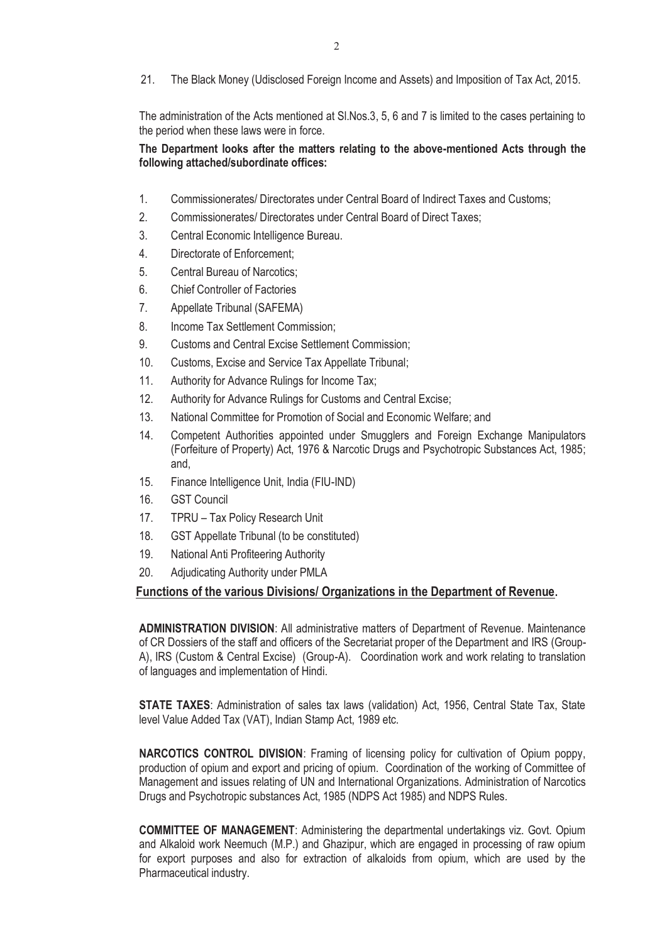21. The Black Money (Udisclosed Foreign Income and Assets) and Imposition of Tax Act, 2015.

The administration of the Acts mentioned at Sl.Nos.3, 5, 6 and 7 is limited to the cases pertaining to the period when these laws were in force.

## **The Department looks after the matters relating to the above-mentioned Acts through the following attached/subordinate offices:**

- 1. Commissionerates/ Directorates under Central Board of Indirect Taxes and Customs;
- 2. Commissionerates/ Directorates under Central Board of Direct Taxes;
- 3. Central Economic Intelligence Bureau.
- 4. Directorate of Enforcement;
- 5. Central Bureau of Narcotics;
- 6. Chief Controller of Factories
- 7. Appellate Tribunal (SAFEMA)
- 8. Income Tax Settlement Commission;
- 9. Customs and Central Excise Settlement Commission;
- 10. Customs, Excise and Service Tax Appellate Tribunal;
- 11. Authority for Advance Rulings for Income Tax;
- 12. Authority for Advance Rulings for Customs and Central Excise;
- 13. National Committee for Promotion of Social and Economic Welfare; and
- 14. Competent Authorities appointed under Smugglers and Foreign Exchange Manipulators (Forfeiture of Property) Act, 1976 & Narcotic Drugs and Psychotropic Substances Act, 1985; and,
- 15. Finance Intelligence Unit, India (FIU-IND)
- 16. GST Council
- 17. TPRU Tax Policy Research Unit
- 18. GST Appellate Tribunal (to be constituted)
- 19. National Anti Profiteering Authority
- 20. Adjudicating Authority under PMLA

# **Functions of the various Divisions/ Organizations in the Department of Revenue.**

**ADMINISTRATION DIVISION**: All administrative matters of Department of Revenue. Maintenance of CR Dossiers of the staff and officers of the Secretariat proper of the Department and IRS (Group-A), IRS (Custom & Central Excise) (Group-A). Coordination work and work relating to translation of languages and implementation of Hindi.

**STATE TAXES**: Administration of sales tax laws (validation) Act, 1956, Central State Tax, State level Value Added Tax (VAT), Indian Stamp Act, 1989 etc.

**NARCOTICS CONTROL DIVISION**: Framing of licensing policy for cultivation of Opium poppy, production of opium and export and pricing of opium. Coordination of the working of Committee of Management and issues relating of UN and International Organizations. Administration of Narcotics Drugs and Psychotropic substances Act, 1985 (NDPS Act 1985) and NDPS Rules.

**COMMITTEE OF MANAGEMENT**: Administering the departmental undertakings viz. Govt. Opium and Alkaloid work Neemuch (M.P.) and Ghazipur, which are engaged in processing of raw opium for export purposes and also for extraction of alkaloids from opium, which are used by the Pharmaceutical industry.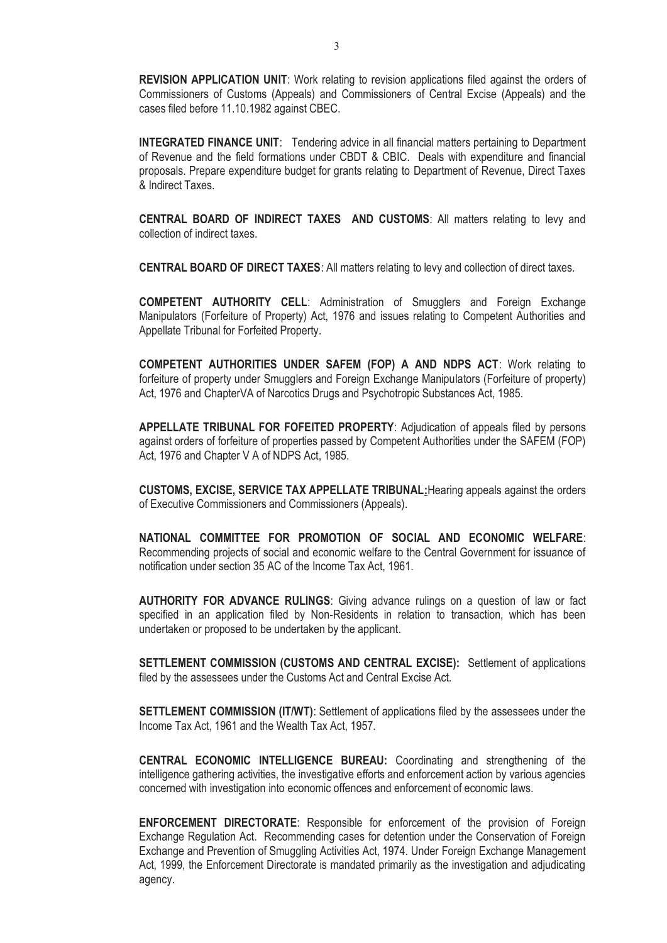**REVISION APPLICATION UNIT:** Work relating to revision applications filed against the orders of Commissioners of Customs (Appeals) and Commissioners of Central Excise (Appeals) and the cases filed before 11.10.1982 against CBEC.

**INTEGRATED FINANCE UNIT**: Tendering advice in all financial matters pertaining to Department of Revenue and the field formations under CBDT & CBIC. Deals with expenditure and financial proposals. Prepare expenditure budget for grants relating to Department of Revenue, Direct Taxes & Indirect Taxes.

**CENTRAL BOARD OF INDIRECT TAXES AND CUSTOMS**: All matters relating to levy and collection of indirect taxes.

**CENTRAL BOARD OF DIRECT TAXES**: All matters relating to levy and collection of direct taxes.

**COMPETENT AUTHORITY CELL**: Administration of Smugglers and Foreign Exchange Manipulators (Forfeiture of Property) Act, 1976 and issues relating to Competent Authorities and Appellate Tribunal for Forfeited Property.

**COMPETENT AUTHORITIES UNDER SAFEM (FOP) A AND NDPS ACT**: Work relating to forfeiture of property under Smugglers and Foreign Exchange Manipulators (Forfeiture of property) Act, 1976 and ChapterVA of Narcotics Drugs and Psychotropic Substances Act, 1985.

**APPELLATE TRIBUNAL FOR FOFEITED PROPERTY**: Adjudication of appeals filed by persons against orders of forfeiture of properties passed by Competent Authorities under the SAFEM (FOP) Act, 1976 and Chapter V A of NDPS Act, 1985.

**CUSTOMS, EXCISE, SERVICE TAX APPELLATE TRIBUNAL:**Hearing appeals against the orders of Executive Commissioners and Commissioners (Appeals).

**NATIONAL COMMITTEE FOR PROMOTION OF SOCIAL AND ECONOMIC WELFARE**: Recommending projects of social and economic welfare to the Central Government for issuance of notification under section 35 AC of the Income Tax Act, 1961.

**AUTHORITY FOR ADVANCE RULINGS**: Giving advance rulings on a question of law or fact specified in an application filed by Non-Residents in relation to transaction, which has been undertaken or proposed to be undertaken by the applicant.

**SETTLEMENT COMMISSION (CUSTOMS AND CENTRAL EXCISE):** Settlement of applications filed by the assessees under the Customs Act and Central Excise Act.

**SETTLEMENT COMMISSION (IT/WT)**: Settlement of applications filed by the assessees under the Income Tax Act, 1961 and the Wealth Tax Act, 1957.

**CENTRAL ECONOMIC INTELLIGENCE BUREAU:** Coordinating and strengthening of the intelligence gathering activities, the investigative efforts and enforcement action by various agencies concerned with investigation into economic offences and enforcement of economic laws.

**ENFORCEMENT DIRECTORATE**: Responsible for enforcement of the provision of Foreign Exchange Regulation Act. Recommending cases for detention under the Conservation of Foreign Exchange and Prevention of Smuggling Activities Act, 1974. Under Foreign Exchange Management Act, 1999, the Enforcement Directorate is mandated primarily as the investigation and adjudicating agency.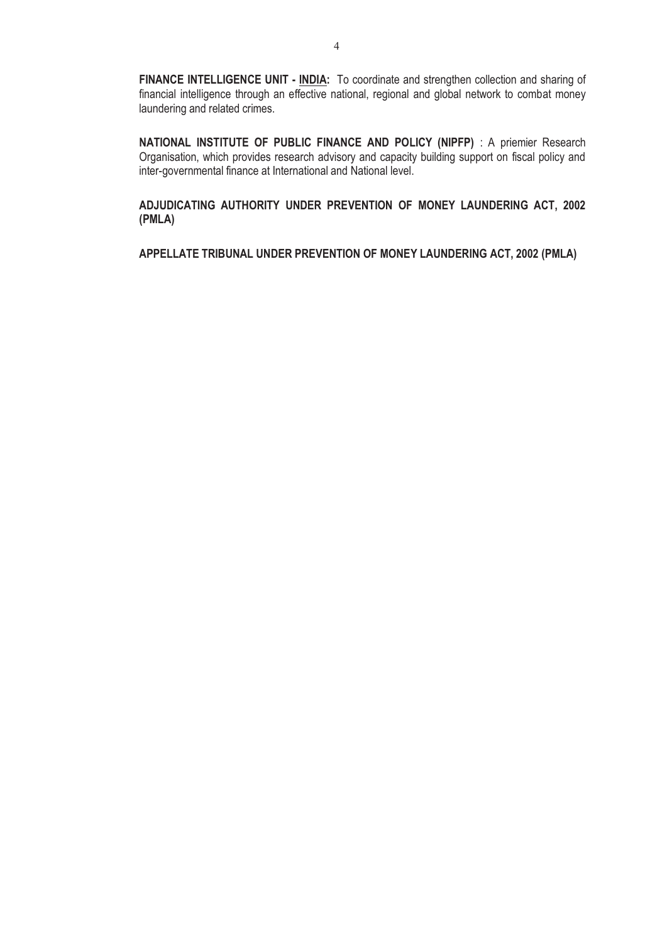**FINANCE INTELLIGENCE UNIT - INDIA:** To coordinate and strengthen collection and sharing of financial intelligence through an effective national, regional and global network to combat money laundering and related crimes.

**NATIONAL INSTITUTE OF PUBLIC FINANCE AND POLICY (NIPFP)** : A priemier Research Organisation, which provides research advisory and capacity building support on fiscal policy and inter-governmental finance at International and National level.

**ADJUDICATING AUTHORITY UNDER PREVENTION OF MONEY LAUNDERING ACT, 2002 (PMLA)** 

**APPELLATE TRIBUNAL UNDER PREVENTION OF MONEY LAUNDERING ACT, 2002 (PMLA)**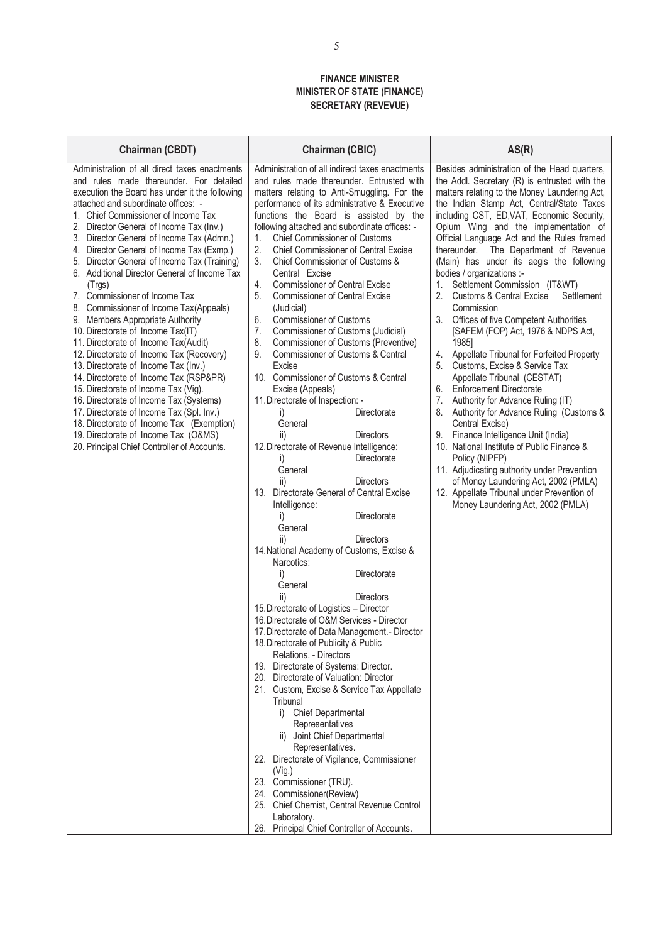#### **FINANCE MINISTER MINISTER OF STATE (FINANCE) SECRETARY (REVEVUE)**

| <b>Chairman (CBDT)</b>                                                                                                                                                                                                                                                                                                                                                                                                                                                                                                                                                                                                                                                                                                                                                                                                                                                                                                                                                                                                                                                 | <b>Chairman (CBIC)</b>                                                                                                                                                                                                                                                                                                                                                                                                                                                                                                                                                                                                                                                                                                                                                                                                                                                                                                                                                                                                                                                                                                                                                                                                                                                                                                                                                                                                                                                                                                                                                                                                                                                                                                                                                                                                                                                                                                                                         | AS(R)                                                                                                                                                                                                                                                                                                                                                                                                                                                                                                                                                                                                                                                                                                                                                                                                                                                                                                                                                                                                                                                                                                                                                                                                          |
|------------------------------------------------------------------------------------------------------------------------------------------------------------------------------------------------------------------------------------------------------------------------------------------------------------------------------------------------------------------------------------------------------------------------------------------------------------------------------------------------------------------------------------------------------------------------------------------------------------------------------------------------------------------------------------------------------------------------------------------------------------------------------------------------------------------------------------------------------------------------------------------------------------------------------------------------------------------------------------------------------------------------------------------------------------------------|----------------------------------------------------------------------------------------------------------------------------------------------------------------------------------------------------------------------------------------------------------------------------------------------------------------------------------------------------------------------------------------------------------------------------------------------------------------------------------------------------------------------------------------------------------------------------------------------------------------------------------------------------------------------------------------------------------------------------------------------------------------------------------------------------------------------------------------------------------------------------------------------------------------------------------------------------------------------------------------------------------------------------------------------------------------------------------------------------------------------------------------------------------------------------------------------------------------------------------------------------------------------------------------------------------------------------------------------------------------------------------------------------------------------------------------------------------------------------------------------------------------------------------------------------------------------------------------------------------------------------------------------------------------------------------------------------------------------------------------------------------------------------------------------------------------------------------------------------------------------------------------------------------------------------------------------------------------|----------------------------------------------------------------------------------------------------------------------------------------------------------------------------------------------------------------------------------------------------------------------------------------------------------------------------------------------------------------------------------------------------------------------------------------------------------------------------------------------------------------------------------------------------------------------------------------------------------------------------------------------------------------------------------------------------------------------------------------------------------------------------------------------------------------------------------------------------------------------------------------------------------------------------------------------------------------------------------------------------------------------------------------------------------------------------------------------------------------------------------------------------------------------------------------------------------------|
| Administration of all direct taxes enactments<br>and rules made thereunder. For detailed<br>execution the Board has under it the following<br>attached and subordinate offices: -<br>1. Chief Commissioner of Income Tax<br>2. Director General of Income Tax (Inv.)<br>3. Director General of Income Tax (Admn.)<br>4. Director General of Income Tax (Exmp.)<br>5. Director General of Income Tax (Training)<br>6. Additional Director General of Income Tax<br>(Trgs)<br>7. Commissioner of Income Tax<br>8. Commissioner of Income Tax(Appeals)<br>9. Members Appropriate Authority<br>10. Directorate of Income Tax(IT)<br>11. Directorate of Income Tax(Audit)<br>12. Directorate of Income Tax (Recovery)<br>13. Directorate of Income Tax (Inv.)<br>14. Directorate of Income Tax (RSP&PR)<br>15. Directorate of Income Tax (Vig).<br>16. Directorate of Income Tax (Systems)<br>17. Directorate of Income Tax (Spl. Inv.)<br>18. Directorate of Income Tax (Exemption)<br>19. Directorate of Income Tax (O&MS)<br>20. Principal Chief Controller of Accounts. | Administration of all indirect taxes enactments<br>and rules made thereunder. Entrusted with<br>matters relating to Anti-Smuggling. For the<br>performance of its administrative & Executive<br>functions the Board is assisted by the<br>following attached and subordinate offices: -<br>1.<br><b>Chief Commissioner of Customs</b><br>2.<br><b>Chief Commissioner of Central Excise</b><br>3.<br>Chief Commissioner of Customs &<br>Central Excise<br><b>Commissioner of Central Excise</b><br>4.<br>5.<br><b>Commissioner of Central Excise</b><br>(Judicial)<br>6.<br><b>Commissioner of Customs</b><br>7.<br>Commissioner of Customs (Judicial)<br>8.<br>Commissioner of Customs (Preventive)<br>Commissioner of Customs & Central<br>9.<br>Excise<br>10. Commissioner of Customs & Central<br>Excise (Appeals)<br>11. Directorate of Inspection: -<br>Directorate<br>i)<br>General<br><b>Directors</b><br>ii)<br>12. Directorate of Revenue Intelligence:<br>Directorate<br>$\vert$<br>General<br>ii)<br><b>Directors</b><br>13. Directorate General of Central Excise<br>Intelligence:<br>i)<br>Directorate<br>General<br><b>Directors</b><br>ii)<br>14. National Academy of Customs, Excise &<br>Narcotics:<br>Directorate<br>i)<br>General<br>ii)<br>Directors<br>15. Directorate of Logistics - Director<br>16. Directorate of O&M Services - Director<br>17. Directorate of Data Management. - Director<br>18. Directorate of Publicity & Public<br>Relations. - Directors<br>19. Directorate of Systems: Director.<br>20. Directorate of Valuation: Director<br>21. Custom, Excise & Service Tax Appellate<br>Tribunal<br>i) Chief Departmental<br>Representatives<br>ii) Joint Chief Departmental<br>Representatives.<br>22. Directorate of Vigilance, Commissioner<br>(Vig.)<br>23. Commissioner (TRU).<br>24. Commissioner(Review)<br>25. Chief Chemist, Central Revenue Control<br>Laboratory.<br>26. Principal Chief Controller of Accounts. | Besides administration of the Head quarters,<br>the Addl. Secretary (R) is entrusted with the<br>matters relating to the Money Laundering Act,<br>the Indian Stamp Act, Central/State Taxes<br>including CST, ED, VAT, Economic Security,<br>Opium Wing and the implementation of<br>Official Language Act and the Rules framed<br>thereunder. The Department of Revenue<br>(Main) has under its aegis the following<br>bodies / organizations :-<br>Settlement Commission (IT&WT)<br>2.<br><b>Customs &amp; Central Excise</b><br>Settlement<br>Commission<br>3. Offices of five Competent Authorities<br>[SAFEM (FOP) Act, 1976 & NDPS Act,<br>1985]<br>4. Appellate Tribunal for Forfeited Property<br>Customs, Excise & Service Tax<br>5.<br>Appellate Tribunal (CESTAT)<br>6. Enforcement Directorate<br>7.<br>Authority for Advance Ruling (IT)<br>Authority for Advance Ruling (Customs &<br>8.<br>Central Excise)<br>Finance Intelligence Unit (India)<br>9.<br>10. National Institute of Public Finance &<br>Policy (NIPFP)<br>11. Adjudicating authority under Prevention<br>of Money Laundering Act, 2002 (PMLA)<br>12. Appellate Tribunal under Prevention of<br>Money Laundering Act, 2002 (PMLA) |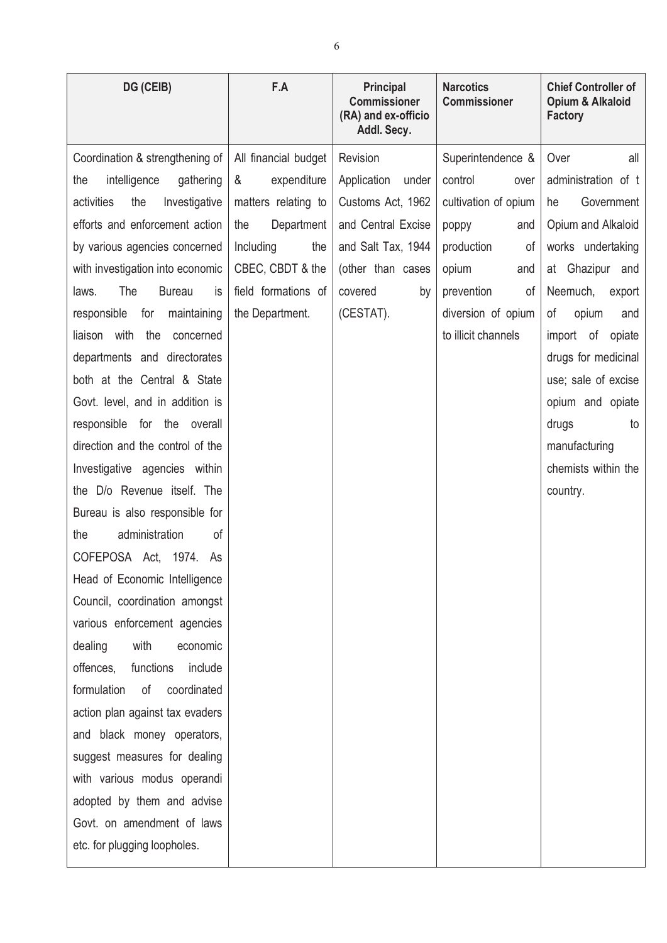| DG (CEIB)                           | F.A                  | <b>Principal</b><br><b>Commissioner</b><br>(RA) and ex-officio<br>Addl. Secy. | <b>Narcotics</b><br><b>Commissioner</b> | <b>Chief Controller of</b><br>Opium & Alkaloid<br><b>Factory</b> |
|-------------------------------------|----------------------|-------------------------------------------------------------------------------|-----------------------------------------|------------------------------------------------------------------|
| Coordination & strengthening of     | All financial budget | Revision                                                                      | Superintendence &                       | Over<br>all                                                      |
| intelligence<br>gathering<br>the    | &<br>expenditure     | Application<br>under                                                          | control<br>over                         | administration of t                                              |
| activities<br>the<br>Investigative  | matters relating to  | Customs Act, 1962                                                             | cultivation of opium                    | Government<br>he                                                 |
| efforts and enforcement action      | the<br>Department    | and Central Excise                                                            | poppy<br>and                            | Opium and Alkaloid                                               |
| by various agencies concerned       | Including<br>the     | and Salt Tax, 1944                                                            | production<br>οf                        | works undertaking                                                |
| with investigation into economic    | CBEC, CBDT & the     | (other than cases                                                             | opium<br>and                            | at Ghazipur and                                                  |
| The<br>laws.<br><b>Bureau</b><br>is | field formations of  | covered<br>by                                                                 | prevention<br>οf                        | Neemuch,<br>export                                               |
| responsible<br>for<br>maintaining   | the Department.      | (CESTAT).                                                                     | diversion of opium                      | opium<br>οf<br>and                                               |
| with<br>liaison<br>the<br>concerned |                      |                                                                               | to illicit channels                     | import<br>of<br>opiate                                           |
| departments and directorates        |                      |                                                                               |                                         | drugs for medicinal                                              |
| both at the Central & State         |                      |                                                                               |                                         | use; sale of excise                                              |
| Govt. level, and in addition is     |                      |                                                                               |                                         | opium and opiate                                                 |
| responsible for the overall         |                      |                                                                               |                                         | drugs<br>to                                                      |
| direction and the control of the    |                      |                                                                               |                                         | manufacturing                                                    |
| Investigative agencies within       |                      |                                                                               |                                         | chemists within the                                              |
| the D/o Revenue itself. The         |                      |                                                                               |                                         | country.                                                         |
| Bureau is also responsible for      |                      |                                                                               |                                         |                                                                  |
| administration<br>0f<br>the         |                      |                                                                               |                                         |                                                                  |
| COFEPOSA Act. 1974.<br>As           |                      |                                                                               |                                         |                                                                  |
| Head of Economic Intelligence       |                      |                                                                               |                                         |                                                                  |
| Council, coordination amongst       |                      |                                                                               |                                         |                                                                  |
| various enforcement agencies        |                      |                                                                               |                                         |                                                                  |
| with<br>dealing<br>economic         |                      |                                                                               |                                         |                                                                  |
| functions<br>include<br>offences,   |                      |                                                                               |                                         |                                                                  |
| formulation<br>of<br>coordinated    |                      |                                                                               |                                         |                                                                  |
| action plan against tax evaders     |                      |                                                                               |                                         |                                                                  |
| and black money operators,          |                      |                                                                               |                                         |                                                                  |
| suggest measures for dealing        |                      |                                                                               |                                         |                                                                  |
| with various modus operandi         |                      |                                                                               |                                         |                                                                  |
| adopted by them and advise          |                      |                                                                               |                                         |                                                                  |
| Govt. on amendment of laws          |                      |                                                                               |                                         |                                                                  |
| etc. for plugging loopholes.        |                      |                                                                               |                                         |                                                                  |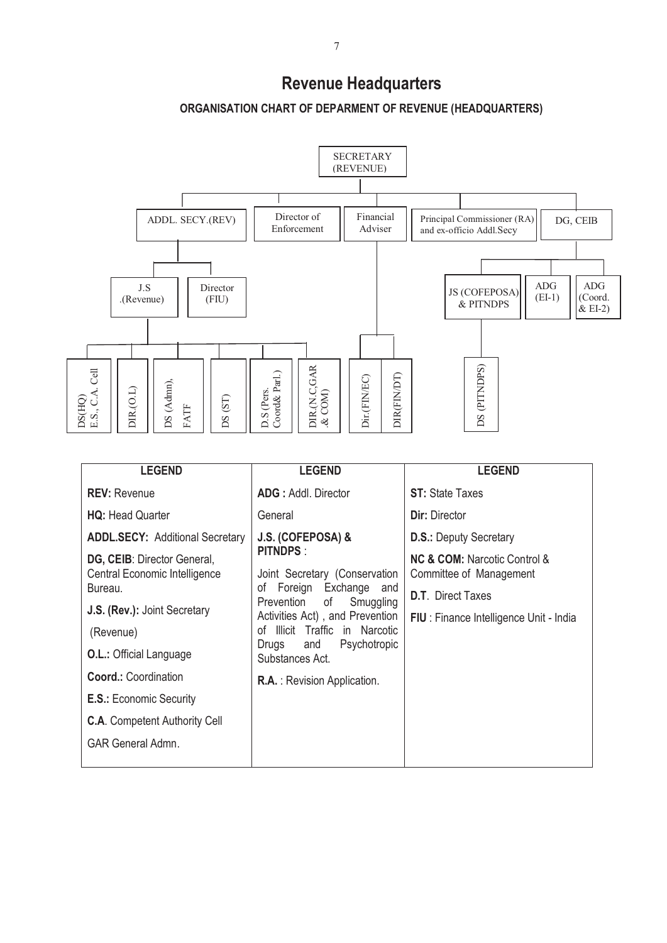# **Revenue Headquarters**





| <b>LEGEND</b>                                                           | <b>LEGEND</b>                                                                                                                                                                                                                                                      | <b>LEGEND</b>                                                              |
|-------------------------------------------------------------------------|--------------------------------------------------------------------------------------------------------------------------------------------------------------------------------------------------------------------------------------------------------------------|----------------------------------------------------------------------------|
| <b>REV: Revenue</b>                                                     | <b>ADG</b> : Addl. Director                                                                                                                                                                                                                                        | <b>ST:</b> State Taxes                                                     |
| <b>HQ: Head Quarter</b>                                                 | General                                                                                                                                                                                                                                                            | <b>Dir: Director</b>                                                       |
| <b>ADDL.SECY: Additional Secretary</b>                                  | J.S. (COFEPOSA) &<br><b>PITNDPS:</b><br>Joint Secretary (Conservation<br>Foreign Exchange<br>of<br>and<br>Prevention<br>of<br>Smuggling<br>Activities Act), and Prevention<br>Illicit Traffic in Narcotic<br>Ωf<br>Psychotropic<br>and<br>Drugs<br>Substances Act. | <b>D.S.: Deputy Secretary</b>                                              |
| DG, CEIB: Director General,<br>Central Economic Intelligence<br>Bureau. |                                                                                                                                                                                                                                                                    | <b>NC &amp; COM:</b> Narcotic Control &<br>Committee of Management         |
| J.S. (Rev.): Joint Secretary                                            |                                                                                                                                                                                                                                                                    | <b>D.T.</b> Direct Taxes<br><b>FIU</b> : Finance Intelligence Unit - India |
| (Revenue)                                                               |                                                                                                                                                                                                                                                                    |                                                                            |
| <b>O.L.: Official Language</b>                                          |                                                                                                                                                                                                                                                                    |                                                                            |
| <b>Coord.: Coordination</b>                                             | <b>R.A.</b> : Revision Application.                                                                                                                                                                                                                                |                                                                            |
| <b>E.S.: Economic Security</b>                                          |                                                                                                                                                                                                                                                                    |                                                                            |
| <b>C.A.</b> Competent Authority Cell                                    |                                                                                                                                                                                                                                                                    |                                                                            |
| <b>GAR General Admn.</b>                                                |                                                                                                                                                                                                                                                                    |                                                                            |
|                                                                         |                                                                                                                                                                                                                                                                    |                                                                            |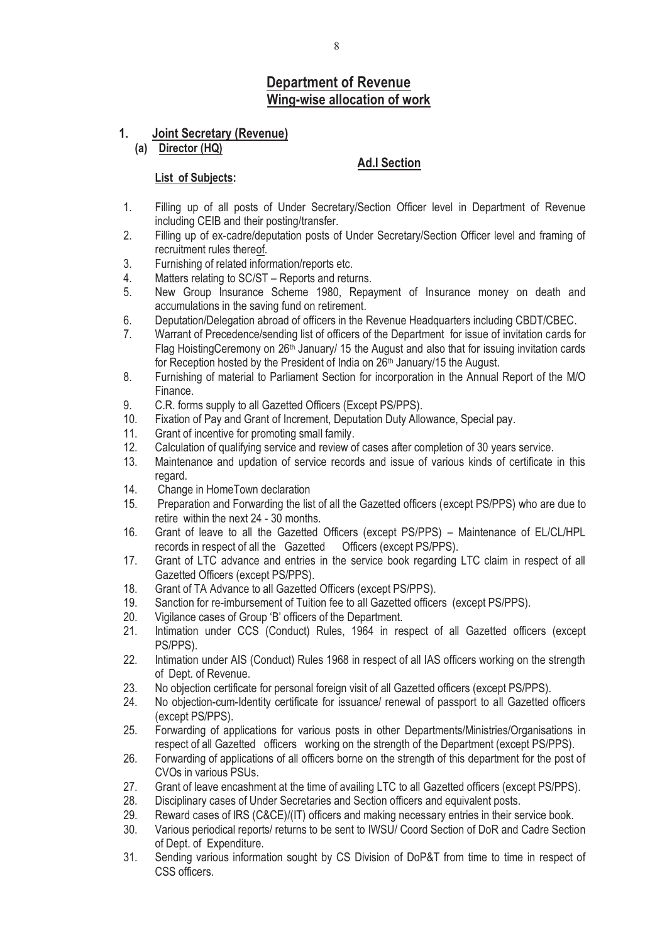# **Department of Revenue Wing-wise allocation of work**

## **1. Joint Secretary (Revenue)**

**(a) Director (HQ)** 

## **Ad.I Section**

- 1. Filling up of all posts of Under Secretary/Section Officer level in Department of Revenue including CEIB and their posting/transfer.
- 2. Filling up of ex-cadre/deputation posts of Under Secretary/Section Officer level and framing of recruitment rules thereof.
- 3. Furnishing of related information/reports etc.
- 4. Matters relating to SC/ST Reports and returns.
- 5. New Group Insurance Scheme 1980, Repayment of Insurance money on death and accumulations in the saving fund on retirement.
- 6. Deputation/Delegation abroad of officers in the Revenue Headquarters including CBDT/CBEC.
- 7. Warrant of Precedence/sending list of officers of the Department for issue of invitation cards for Flag HoistingCeremony on  $26<sup>th</sup>$  January/ 15 the August and also that for issuing invitation cards for Reception hosted by the President of India on 26<sup>th</sup> January/15 the August.
- 8. Furnishing of material to Parliament Section for incorporation in the Annual Report of the M/O Finance.
- 9. C.R. forms supply to all Gazetted Officers (Except PS/PPS).<br>10 Fixation of Pay and Grant of Increment. Deputation Duty Allo
- Fixation of Pay and Grant of Increment, Deputation Duty Allowance, Special pay.
- 11. Grant of incentive for promoting small family.
- 12. Calculation of qualifying service and review of cases after completion of 30 years service.
- 13. Maintenance and updation of service records and issue of various kinds of certificate in this regard.
- 14. Change in HomeTown declaration
- 15. Preparation and Forwarding the list of all the Gazetted officers (except PS/PPS) who are due to retire within the next 24 - 30 months.
- 16. Grant of leave to all the Gazetted Officers (except PS/PPS) Maintenance of EL/CL/HPL records in respect of all the Gazetted Officers (except PS/PPS).
- 17. Grant of LTC advance and entries in the service book regarding LTC claim in respect of all Gazetted Officers (except PS/PPS).
- 18. Grant of TA Advance to all Gazetted Officers (except PS/PPS).
- 19. Sanction for re-imbursement of Tuition fee to all Gazetted officers (except PS/PPS).
- 20. Vigilance cases of Group 'B' officers of the Department.<br>21. Intimation under CCS (Conduct) Rules. 1964 in rea
- Intimation under CCS (Conduct) Rules, 1964 in respect of all Gazetted officers (except PS/PPS).
- 22. Intimation under AIS (Conduct) Rules 1968 in respect of all IAS officers working on the strength of Dept. of Revenue.
- 23. No objection certificate for personal foreign visit of all Gazetted officers (except PS/PPS).
- 24. No objection-cum-Identity certificate for issuance/ renewal of passport to all Gazetted officers (except PS/PPS).
- 25. Forwarding of applications for various posts in other Departments/Ministries/Organisations in respect of all Gazetted officers working on the strength of the Department (except PS/PPS).
- 26. Forwarding of applications of all officers borne on the strength of this department for the post of CVOs in various PSUs.
- 27. Grant of leave encashment at the time of availing LTC to all Gazetted officers (except PS/PPS).
- 28. Disciplinary cases of Under Secretaries and Section officers and equivalent posts.
- 29. Reward cases of IRS (C&CE)/(IT) officers and making necessary entries in their service book.
- 30. Various periodical reports/ returns to be sent to IWSU/ Coord Section of DoR and Cadre Section of Dept. of Expenditure.
- 31. Sending various information sought by CS Division of DoP&T from time to time in respect of CSS officers.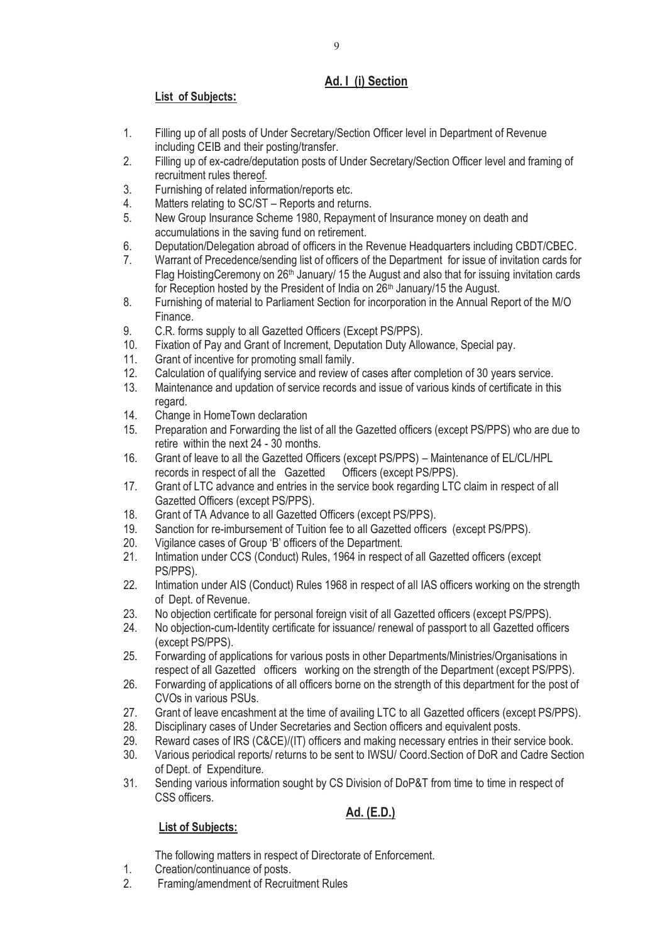# **Ad. I (i) Section**

# **List of Subjects:**

- 1. Filling up of all posts of Under Secretary/Section Officer level in Department of Revenue including CEIB and their posting/transfer.
- 2. Filling up of ex-cadre/deputation posts of Under Secretary/Section Officer level and framing of recruitment rules thereof.
- 3. Furnishing of related information/reports etc.
- 4. Matters relating to SC/ST Reports and returns.
- 5. New Group Insurance Scheme 1980, Repayment of Insurance money on death and accumulations in the saving fund on retirement.
- 6. Deputation/Delegation abroad of officers in the Revenue Headquarters including CBDT/CBEC.
- 7. Warrant of Precedence/sending list of officers of the Department for issue of invitation cards for Flag HoistingCeremony on 26<sup>th</sup> January/ 15 the August and also that for issuing invitation cards for Reception hosted by the President of India on 26<sup>th</sup> January/15 the August.
- 8. Furnishing of material to Parliament Section for incorporation in the Annual Report of the M/O Finance.
- 9. C.R. forms supply to all Gazetted Officers (Except PS/PPS).
- 10. Fixation of Pay and Grant of Increment, Deputation Duty Allowance, Special pay.
- 11. Grant of incentive for promoting small family.
- 12. Calculation of qualifying service and review of cases after completion of 30 years service.
- 13. Maintenance and updation of service records and issue of various kinds of certificate in this regard.
- 14. Change in HomeTown declaration
- 15. Preparation and Forwarding the list of all the Gazetted officers (except PS/PPS) who are due to retire within the next 24 - 30 months.
- 16. Grant of leave to all the Gazetted Officers (except PS/PPS) Maintenance of EL/CL/HPL records in respect of all the Gazetted Officers (except PS/PPS).
- 17. Grant of LTC advance and entries in the service book regarding LTC claim in respect of all Gazetted Officers (except PS/PPS).
- 18. Grant of TA Advance to all Gazetted Officers (except PS/PPS).
- 19. Sanction for re-imbursement of Tuition fee to all Gazetted officers (except PS/PPS).
- 20. Vigilance cases of Group 'B' officers of the Department.<br>21. Intimation under CCS (Conduct) Rules. 1964 in respect
- Intimation under CCS (Conduct) Rules, 1964 in respect of all Gazetted officers (except PS/PPS).
- 22. Intimation under AIS (Conduct) Rules 1968 in respect of all IAS officers working on the strength of Dept. of Revenue.
- 23. No objection certificate for personal foreign visit of all Gazetted officers (except PS/PPS).
- 24. No objection-cum-Identity certificate for issuance/ renewal of passport to all Gazetted officers (except PS/PPS).
- 25. Forwarding of applications for various posts in other Departments/Ministries/Organisations in respect of all Gazetted officers working on the strength of the Department (except PS/PPS).
- 26. Forwarding of applications of all officers borne on the strength of this department for the post of CVOs in various PSUs.
- 27. Grant of leave encashment at the time of availing LTC to all Gazetted officers (except PS/PPS).
- 28. Disciplinary cases of Under Secretaries and Section officers and equivalent posts.
- 29. Reward cases of IRS (C&CE)/(IT) officers and making necessary entries in their service book.
- 30. Various periodical reports/ returns to be sent to IWSU/ Coord.Section of DoR and Cadre Section of Dept. of Expenditure.
- 31. Sending various information sought by CS Division of DoP&T from time to time in respect of CSS officers.

# **Ad. (E.D.)**

# **List of Subjects:**

The following matters in respect of Directorate of Enforcement.

- 1. Creation/continuance of posts.
- 2. Framing/amendment of Recruitment Rules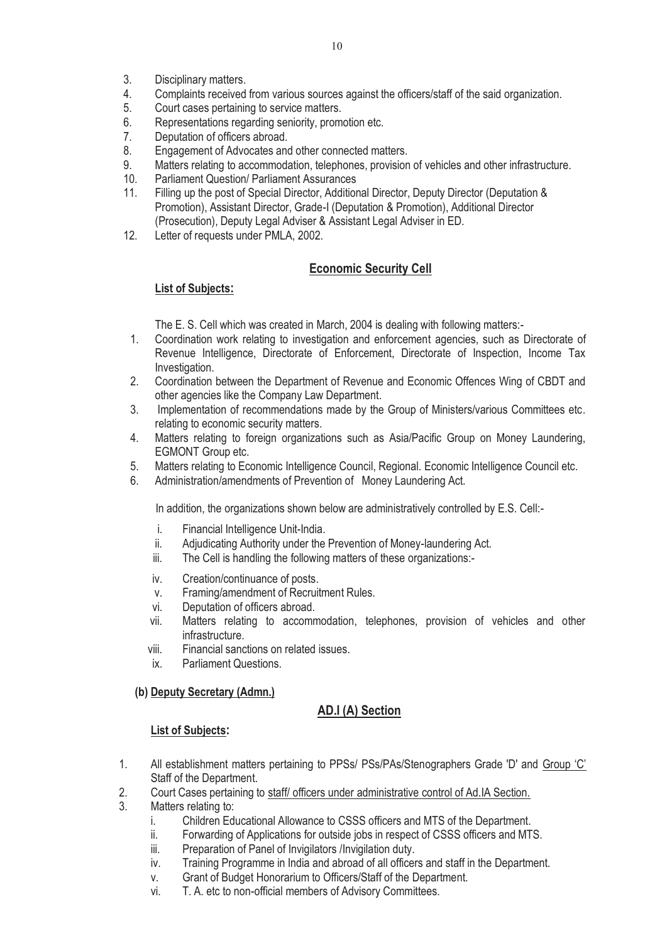- 3. Disciplinary matters.
- 4. Complaints received from various sources against the officers/staff of the said organization.
- 5. Court cases pertaining to service matters.
- 6. Representations regarding seniority, promotion etc.
- 7. Deputation of officers abroad.
- 8. Engagement of Advocates and other connected matters.
- 9. Matters relating to accommodation, telephones, provision of vehicles and other infrastructure.
- 10. Parliament Question/ Parliament Assurances
- 11. Filling up the post of Special Director, Additional Director, Deputy Director (Deputation & Promotion), Assistant Director, Grade-I (Deputation & Promotion), Additional Director (Prosecution), Deputy Legal Adviser & Assistant Legal Adviser in ED.
- 12. Letter of requests under PMLA, 2002.

# **Economic Security Cell**

## **List of Subjects:**

The E. S. Cell which was created in March, 2004 is dealing with following matters:-

- 1. Coordination work relating to investigation and enforcement agencies, such as Directorate of Revenue Intelligence, Directorate of Enforcement, Directorate of Inspection, Income Tax Investigation.
- 2. Coordination between the Department of Revenue and Economic Offences Wing of CBDT and other agencies like the Company Law Department.
- 3. Implementation of recommendations made by the Group of Ministers/various Committees etc. relating to economic security matters.
- 4. Matters relating to foreign organizations such as Asia/Pacific Group on Money Laundering, EGMONT Group etc.
- 5. Matters relating to Economic Intelligence Council, Regional. Economic Intelligence Council etc.
- 6. Administration/amendments of Prevention of Money Laundering Act.

In addition, the organizations shown below are administratively controlled by E.S. Cell:-

- i. Financial Intelligence Unit-India.
- ii. Adjudicating Authority under the Prevention of Money-laundering Act.
- iii. The Cell is handling the following matters of these organizations:-
- iv. Creation/continuance of posts.
- v. Framing/amendment of Recruitment Rules.
- vi. Deputation of officers abroad.
- vii. Matters relating to accommodation, telephones, provision of vehicles and other infrastructure.
- viii. Financial sanctions on related issues.
- ix. Parliament Questions.

## **(b) Deputy Secretary (Admn.)**

# **AD.I (A) Section**

- 1. All establishment matters pertaining to PPSs/ PSs/PAs/Stenographers Grade 'D' and Group 'C' Staff of the Department.
- 2. Court Cases pertaining to staff/ officers under administrative control of Ad.IA Section.
- 3. Matters relating to:
	- i. Children Educational Allowance to CSSS officers and MTS of the Department.
	- ii. Forwarding of Applications for outside jobs in respect of CSSS officers and MTS.
	- iii. Preparation of Panel of Invigilators /Invigilation duty.
	- iv. Training Programme in India and abroad of all officers and staff in the Department.
	- v. Grant of Budget Honorarium to Officers/Staff of the Department.
	- vi. T. A. etc to non-official members of Advisory Committees.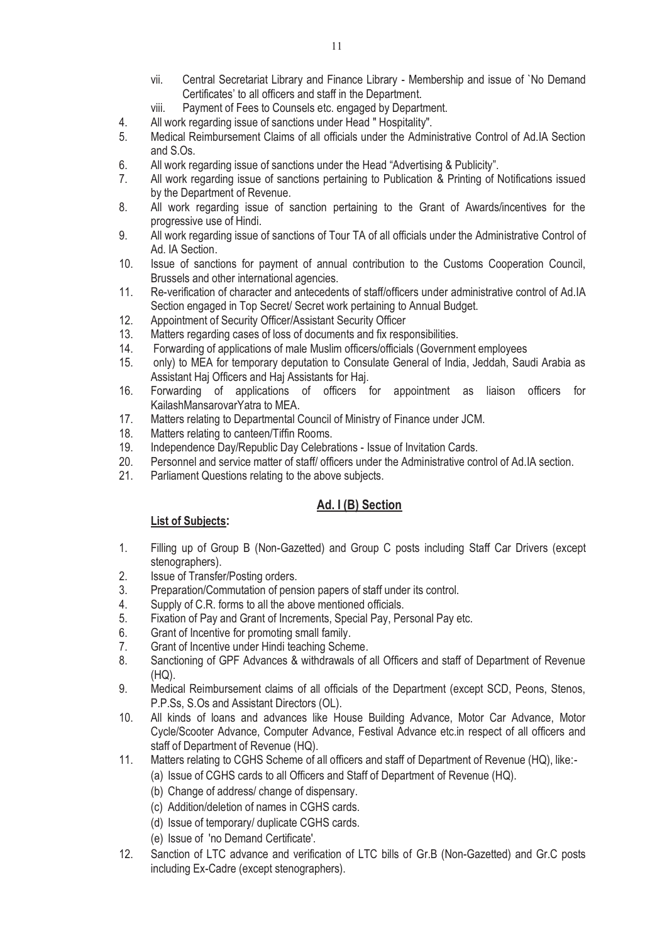- vii. Central Secretariat Library and Finance Library Membership and issue of `No Demand Certificates' to all officers and staff in the Department.
- viii. Payment of Fees to Counsels etc. engaged by Department.
- 4. All work regarding issue of sanctions under Head " Hospitality".
- 5. Medical Reimbursement Claims of all officials under the Administrative Control of Ad.IA Section and S.Os.
- 6. All work regarding issue of sanctions under the Head "Advertising & Publicity".
- 7. All work regarding issue of sanctions pertaining to Publication & Printing of Notifications issued by the Department of Revenue.
- 8. All work regarding issue of sanction pertaining to the Grant of Awards/incentives for the progressive use of Hindi.
- 9. All work regarding issue of sanctions of Tour TA of all officials under the Administrative Control of Ad. IA Section.
- 10. Issue of sanctions for payment of annual contribution to the Customs Cooperation Council, Brussels and other international agencies.
- 11. Re-verification of character and antecedents of staff/officers under administrative control of Ad.IA Section engaged in Top Secret/ Secret work pertaining to Annual Budget.
- 12. Appointment of Security Officer/Assistant Security Officer
- 13. Matters regarding cases of loss of documents and fix responsibilities.
- 14. Forwarding of applications of male Muslim officers/officials (Government employees
- 15. only) to MEA for temporary deputation to Consulate General of India, Jeddah, Saudi Arabia as Assistant Haj Officers and Haj Assistants for Haj.
- 16. Forwarding of applications of officers for appointment as liaison officers for KailashMansarovarYatra to MEA.
- 17. Matters relating to Departmental Council of Ministry of Finance under JCM.
- 18. Matters relating to canteen/Tiffin Rooms.
- 19. Independence Day/Republic Day Celebrations Issue of Invitation Cards.
- 20. Personnel and service matter of staff/ officers under the Administrative control of Ad.IA section.
- 21. Parliament Questions relating to the above subjects.

# **Ad. I (B) Section**

- 1. Filling up of Group B (Non-Gazetted) and Group C posts including Staff Car Drivers (except stenographers).
- 2. Issue of Transfer/Posting orders.
- 3. Preparation/Commutation of pension papers of staff under its control.
- 4. Supply of C.R. forms to all the above mentioned officials.
- 5. Fixation of Pay and Grant of Increments, Special Pay, Personal Pay etc.<br>6. Grant of Incentive for promoting small family.
- 6. Grant of Incentive for promoting small family.<br>7. Grant of Incentive under Hindi teaching Scher
- Grant of Incentive under Hindi teaching Scheme.
- 8. Sanctioning of GPF Advances & withdrawals of all Officers and staff of Department of Revenue (HQ).
- 9. Medical Reimbursement claims of all officials of the Department (except SCD, Peons, Stenos, P.P.Ss, S.Os and Assistant Directors (OL).
- 10. All kinds of loans and advances like House Building Advance, Motor Car Advance, Motor Cycle/Scooter Advance, Computer Advance, Festival Advance etc.in respect of all officers and staff of Department of Revenue (HQ).
- 11. Matters relating to CGHS Scheme of all officers and staff of Department of Revenue (HQ), like:-
	- (a) Issue of CGHS cards to all Officers and Staff of Department of Revenue (HQ).
	- (b) Change of address/ change of dispensary.
	- (c) Addition/deletion of names in CGHS cards.
	- (d) Issue of temporary/ duplicate CGHS cards.
	- (e) Issue of 'no Demand Certificate'.
- 12. Sanction of LTC advance and verification of LTC bills of Gr.B (Non-Gazetted) and Gr.C posts including Ex-Cadre (except stenographers).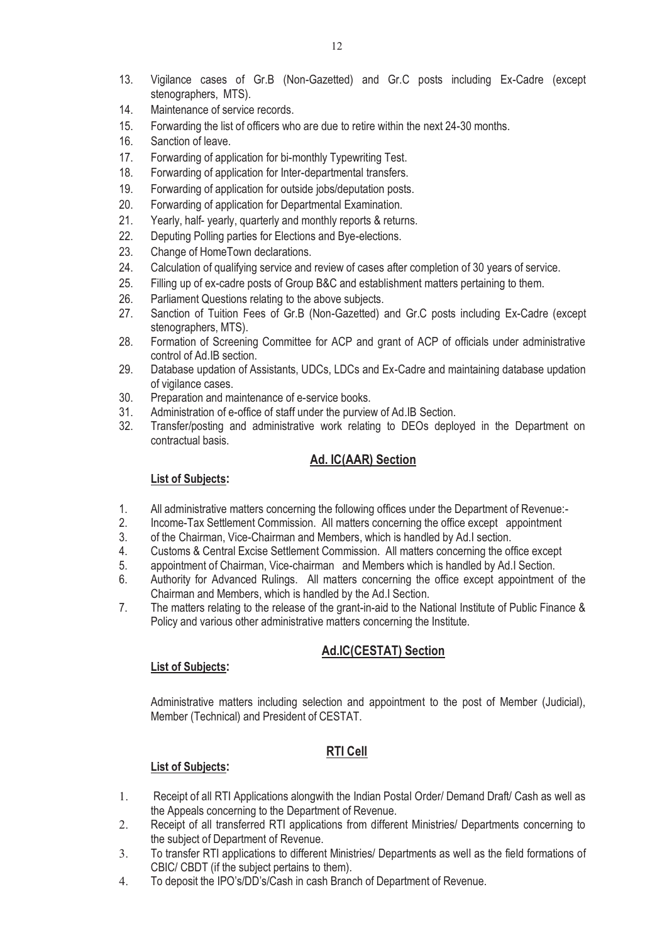- 13. Vigilance cases of Gr.B (Non-Gazetted) and Gr.C posts including Ex-Cadre (except stenographers, MTS).
- 14. Maintenance of service records.
- 15. Forwarding the list of officers who are due to retire within the next 24-30 months.
- 16. Sanction of leave.
- 17. Forwarding of application for bi-monthly Typewriting Test.
- 18. Forwarding of application for Inter-departmental transfers.
- 19. Forwarding of application for outside jobs/deputation posts.
- 20. Forwarding of application for Departmental Examination.
- 21. Yearly, half- yearly, quarterly and monthly reports & returns.
- 22. Deputing Polling parties for Elections and Bye-elections.
- 23. Change of HomeTown declarations.
- 24. Calculation of qualifying service and review of cases after completion of 30 years of service.
- 25. Filling up of ex-cadre posts of Group B&C and establishment matters pertaining to them.
- 26. Parliament Questions relating to the above subjects.<br>27. Sanction of Tuition Fees of Gr.B (Non-Gazetted)
- Sanction of Tuition Fees of Gr.B (Non-Gazetted) and Gr.C posts including Ex-Cadre (except stenographers, MTS).
- 28. Formation of Screening Committee for ACP and grant of ACP of officials under administrative control of Ad.IB section.
- 29. Database updation of Assistants, UDCs, LDCs and Ex-Cadre and maintaining database updation of vigilance cases.
- 30. Preparation and maintenance of e-service books.
- 31. Administration of e-office of staff under the purview of Ad.IB Section.<br>32. Transfer/posting and administrative work relating to DEOs deplo
- Transfer/posting and administrative work relating to DEOs deployed in the Department on contractual basis.

## **Ad. IC(AAR) Section**

#### **List of Subjects:**

- 1. All administrative matters concerning the following offices under the Department of Revenue:-
- 2. Income-Tax Settlement Commission. All matters concerning the office except appointment
- 3. of the Chairman, Vice-Chairman and Members, which is handled by Ad.I section.<br>4. Customs & Central Excise Settlement Commission. All matters concerning the of
- 4. Customs & Central Excise Settlement Commission. All matters concerning the office except
- 5. appointment of Chairman, Vice-chairman and Members which is handled by Ad.I Section.
- 6. Authority for Advanced Rulings. All matters concerning the office except appointment of the Chairman and Members, which is handled by the Ad.I Section.
- 7. The matters relating to the release of the grant-in-aid to the National Institute of Public Finance & Policy and various other administrative matters concerning the Institute.

## **Ad.IC(CESTAT) Section**

#### **List of Subjects:**

Administrative matters including selection and appointment to the post of Member (Judicial), Member (Technical) and President of CESTAT.

# **RTI Cell**

- 1. Receipt of all RTI Applications alongwith the Indian Postal Order/ Demand Draft/ Cash as well as the Appeals concerning to the Department of Revenue.
- 2. Receipt of all transferred RTI applications from different Ministries/ Departments concerning to the subject of Department of Revenue.
- 3. To transfer RTI applications to different Ministries/ Departments as well as the field formations of CBIC/ CBDT (if the subject pertains to them).
- 4. To deposit the IPO's/DD's/Cash in cash Branch of Department of Revenue.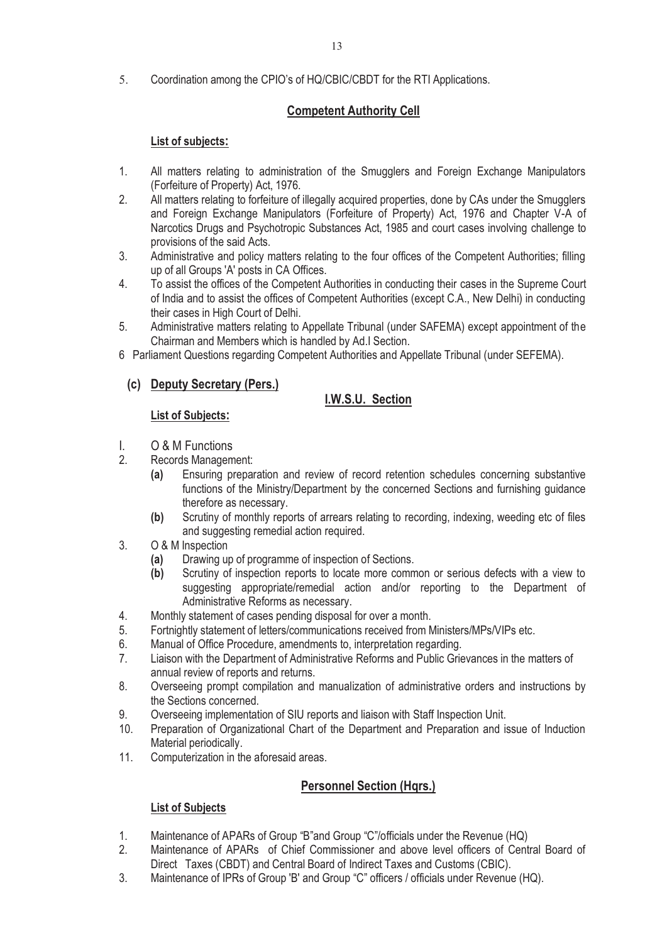5. Coordination among the CPIO's of HQ/CBIC/CBDT for the RTI Applications.

# **Competent Authority Cell**

# **List of subjects:**

- 1. All matters relating to administration of the Smugglers and Foreign Exchange Manipulators (Forfeiture of Property) Act, 1976.
- 2. All matters relating to forfeiture of illegally acquired properties, done by CAs under the Smugglers and Foreign Exchange Manipulators (Forfeiture of Property) Act, 1976 and Chapter V-A of Narcotics Drugs and Psychotropic Substances Act, 1985 and court cases involving challenge to provisions of the said Acts.
- 3. Administrative and policy matters relating to the four offices of the Competent Authorities; filling up of all Groups 'A' posts in CA Offices.
- 4. To assist the offices of the Competent Authorities in conducting their cases in the Supreme Court of India and to assist the offices of Competent Authorities (except C.A., New Delhi) in conducting their cases in High Court of Delhi.
- 5. Administrative matters relating to Appellate Tribunal (under SAFEMA) except appointment of the Chairman and Members which is handled by Ad.I Section.
- 6 Parliament Questions regarding Competent Authorities and Appellate Tribunal (under SEFEMA).

# **(c) Deputy Secretary (Pers.)**

# **I.W.S.U. Section**

## **List of Subjects:**

- I. O & M Functions
- 2. Records Management:
	- **(a)** Ensuring preparation and review of record retention schedules concerning substantive functions of the Ministry/Department by the concerned Sections and furnishing guidance therefore as necessary.
	- **(b)** Scrutiny of monthly reports of arrears relating to recording, indexing, weeding etc of files and suggesting remedial action required.
- 3. O & M Inspection
	- **(a)** Drawing up of programme of inspection of Sections.
	- **(b)** Scrutiny of inspection reports to locate more common or serious defects with a view to suggesting appropriate/remedial action and/or reporting to the Department of Administrative Reforms as necessary.
- 4. Monthly statement of cases pending disposal for over a month.
- 5. Fortnightly statement of letters/communications received from Ministers/MPs/VIPs etc.
- 6. Manual of Office Procedure, amendments to, interpretation regarding.
- 7. Liaison with the Department of Administrative Reforms and Public Grievances in the matters of annual review of reports and returns.
- 8. Overseeing prompt compilation and manualization of administrative orders and instructions by the Sections concerned.
- 9. Overseeing implementation of SIU reports and liaison with Staff Inspection Unit.
- 10. Preparation of Organizational Chart of the Department and Preparation and issue of Induction Material periodically.
- 11. Computerization in the aforesaid areas.

# **Personnel Section (Hqrs.)**

- 1. Maintenance of APARs of Group "B"and Group "C"/officials under the Revenue (HQ)
- 2. Maintenance of APARs of Chief Commissioner and above level officers of Central Board of Direct Taxes (CBDT) and Central Board of Indirect Taxes and Customs (CBIC).
- 3. Maintenance of IPRs of Group 'B' and Group "C" officers / officials under Revenue (HQ).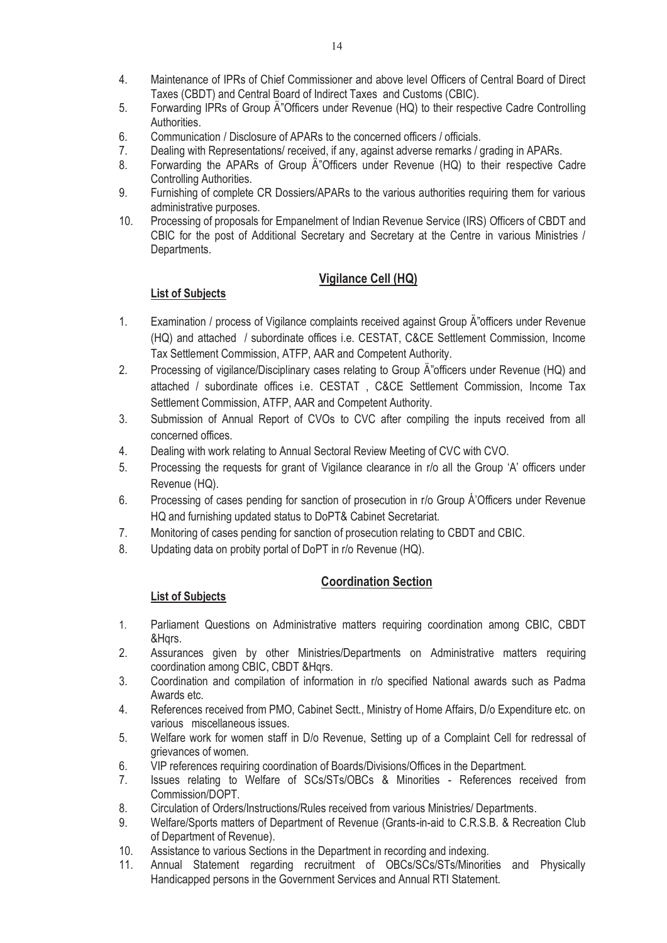- 5. Forwarding IPRs of Group Ä"Officers under Revenue (HQ) to their respective Cadre Controlling **Authorities**
- 6. Communication / Disclosure of APARs to the concerned officers / officials.
- 7. Dealing with Representations/ received, if any, against adverse remarks / grading in APARs.
- 8. Forwarding the APARs of Group A"Officers under Revenue (HQ) to their respective Cadre Controlling Authorities.
- 9. Furnishing of complete CR Dossiers/APARs to the various authorities requiring them for various administrative purposes.
- 10. Processing of proposals for Empanelment of Indian Revenue Service (IRS) Officers of CBDT and CBIC for the post of Additional Secretary and Secretary at the Centre in various Ministries / Departments.

# **Vigilance Cell (HQ)**

# **List of Subjects**

- 1. Examination / process of Vigilance complaints received against Group A "officers under Revenue (HQ) and attached / subordinate offices i.e. CESTAT, C&CE Settlement Commission, Income Tax Settlement Commission, ATFP, AAR and Competent Authority.
- 2. Processing of vigilance/Disciplinary cases relating to Group A "officers under Revenue (HQ) and attached / subordinate offices i.e. CESTAT , C&CE Settlement Commission, Income Tax Settlement Commission, ATFP, AAR and Competent Authority.
- 3. Submission of Annual Report of CVOs to CVC after compiling the inputs received from all concerned offices.
- 4. Dealing with work relating to Annual Sectoral Review Meeting of CVC with CVO.
- 5. Processing the requests for grant of Vigilance clearance in r/o all the Group 'A' officers under Revenue (HQ).
- 6. Processing of cases pending for sanction of prosecution in r/o Group Á'Officers under Revenue HQ and furnishing updated status to DoPT& Cabinet Secretariat.
- 7. Monitoring of cases pending for sanction of prosecution relating to CBDT and CBIC.
- 8. Updating data on probity portal of DoPT in r/o Revenue (HQ).

# **Coordination Section**

- 1. Parliament Questions on Administrative matters requiring coordination among CBIC, CBDT &Hqrs.
- 2. Assurances given by other Ministries/Departments on Administrative matters requiring coordination among CBIC, CBDT &Hqrs.
- 3. Coordination and compilation of information in r/o specified National awards such as Padma Awards etc.
- 4. References received from PMO, Cabinet Sectt., Ministry of Home Affairs, D/o Expenditure etc. on various miscellaneous issues.
- 5. Welfare work for women staff in D/o Revenue, Setting up of a Complaint Cell for redressal of grievances of women.
- 6. VIP references requiring coordination of Boards/Divisions/Offices in the Department.
- 7. Issues relating to Welfare of SCs/STs/OBCs & Minorities References received from Commission/DOPT.
- 8. Circulation of Orders/Instructions/Rules received from various Ministries/ Departments.
- 9. Welfare/Sports matters of Department of Revenue (Grants-in-aid to C.R.S.B. & Recreation Club of Department of Revenue).
- 10. Assistance to various Sections in the Department in recording and indexing.
- 11. Annual Statement regarding recruitment of OBCs/SCs/STs/Minorities and Physically Handicapped persons in the Government Services and Annual RTI Statement.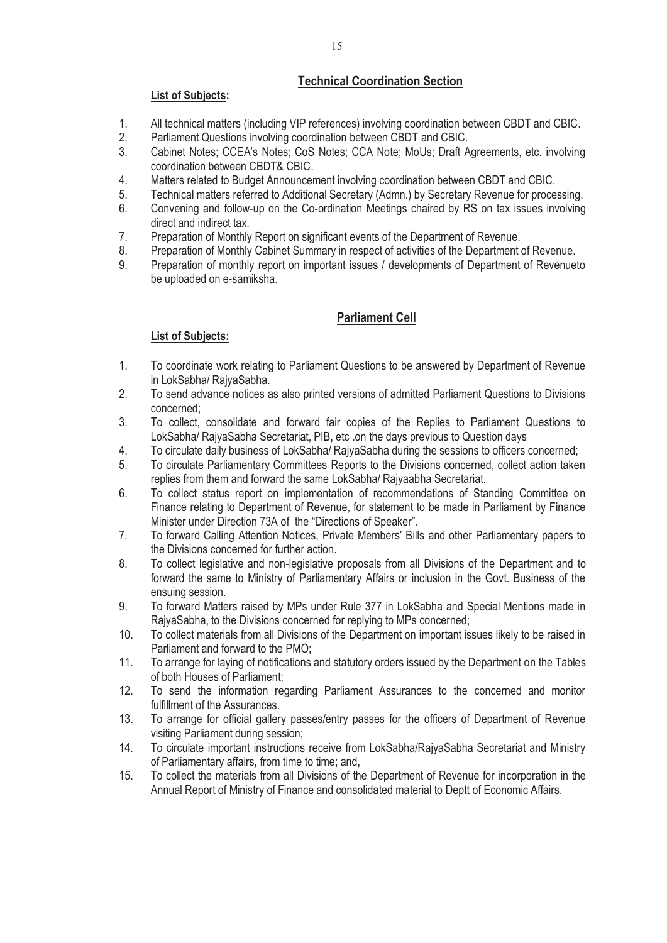# **Technical Coordination Section**

## **List of Subjects:**

- 1. All technical matters (including VIP references) involving coordination between CBDT and CBIC.
- 2. Parliament Questions involving coordination between CBDT and CBIC.
- 3. Cabinet Notes; CCEA's Notes; CoS Notes; CCA Note; MoUs; Draft Agreements, etc. involving coordination between CBDT& CBIC.
- 4. Matters related to Budget Announcement involving coordination between CBDT and CBIC.
- 5. Technical matters referred to Additional Secretary (Admn.) by Secretary Revenue for processing.<br>6. Convening and follow-up on the Co-ordination Meetings chaired by RS on tax issues involving
- 6. Convening and follow-up on the Co-ordination Meetings chaired by RS on tax issues involving direct and indirect tax.
- 7. Preparation of Monthly Report on significant events of the Department of Revenue.
- 8. Preparation of Monthly Cabinet Summary in respect of activities of the Department of Revenue.
- 9. Preparation of monthly report on important issues / developments of Department of Revenueto be uploaded on e-samiksha.

# **Parliament Cell**

- 1. To coordinate work relating to Parliament Questions to be answered by Department of Revenue in LokSabha/ RajyaSabha.
- 2. To send advance notices as also printed versions of admitted Parliament Questions to Divisions concerned;
- 3. To collect, consolidate and forward fair copies of the Replies to Parliament Questions to LokSabha/ RajyaSabha Secretariat, PIB, etc .on the days previous to Question days
- 4. To circulate daily business of LokSabha/ RajyaSabha during the sessions to officers concerned;
- 5. To circulate Parliamentary Committees Reports to the Divisions concerned, collect action taken replies from them and forward the same LokSabha/ Rajyaabha Secretariat.
- 6. To collect status report on implementation of recommendations of Standing Committee on Finance relating to Department of Revenue, for statement to be made in Parliament by Finance Minister under Direction 73A of the "Directions of Speaker".
- 7. To forward Calling Attention Notices, Private Members' Bills and other Parliamentary papers to the Divisions concerned for further action.
- 8. To collect legislative and non-legislative proposals from all Divisions of the Department and to forward the same to Ministry of Parliamentary Affairs or inclusion in the Govt. Business of the ensuing session.
- 9. To forward Matters raised by MPs under Rule 377 in LokSabha and Special Mentions made in RajyaSabha, to the Divisions concerned for replying to MPs concerned;
- 10. To collect materials from all Divisions of the Department on important issues likely to be raised in Parliament and forward to the PMO;
- 11. To arrange for laying of notifications and statutory orders issued by the Department on the Tables of both Houses of Parliament;
- 12. To send the information regarding Parliament Assurances to the concerned and monitor fulfillment of the Assurances.
- 13. To arrange for official gallery passes/entry passes for the officers of Department of Revenue visiting Parliament during session;
- 14. To circulate important instructions receive from LokSabha/RajyaSabha Secretariat and Ministry of Parliamentary affairs, from time to time; and,
- 15. To collect the materials from all Divisions of the Department of Revenue for incorporation in the Annual Report of Ministry of Finance and consolidated material to Deptt of Economic Affairs.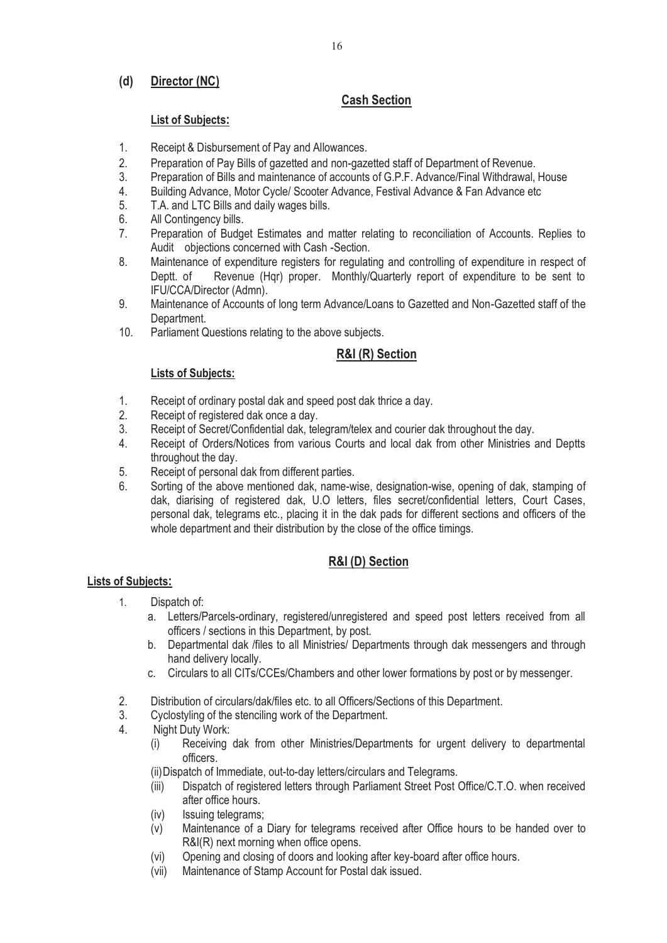# **(d) Director (NC)**

# **Cash Section**

## **List of Subjects:**

- 1. Receipt & Disbursement of Pay and Allowances.
- 2. Preparation of Pay Bills of gazetted and non-gazetted staff of Department of Revenue.
- 3. Preparation of Bills and maintenance of accounts of G.P.F. Advance/Final Withdrawal, House
- 4. Building Advance, Motor Cycle/ Scooter Advance, Festival Advance & Fan Advance etc<br>5. T.A. and LTC Bills and daily wages bills.
- 5. T.A. and LTC Bills and daily wages bills.<br>6. All Contingency bills.
- All Contingency bills.
- 7. Preparation of Budget Estimates and matter relating to reconciliation of Accounts. Replies to Audit objections concerned with Cash -Section.
- 8. Maintenance of expenditure registers for regulating and controlling of expenditure in respect of Deptt. of Revenue (Hqr) proper. Monthly/Quarterly report of expenditure to be sent to IFU/CCA/Director (Admn).
- 9. Maintenance of Accounts of long term Advance/Loans to Gazetted and Non-Gazetted staff of the Department.
- 10. Parliament Questions relating to the above subjects.

## **R&I (R) Section**

#### **Lists of Subjects:**

- 1. Receipt of ordinary postal dak and speed post dak thrice a day.
- 2. Receipt of registered dak once a day.<br>3. Receipt of Secret/Confidential dak. tel
- Receipt of Secret/Confidential dak, telegram/telex and courier dak throughout the day.
- 4. Receipt of Orders/Notices from various Courts and local dak from other Ministries and Deptts throughout the day.
- 5. Receipt of personal dak from different parties.
- 6. Sorting of the above mentioned dak, name-wise, designation-wise, opening of dak, stamping of dak, diarising of registered dak, U.O letters, files secret/confidential letters, Court Cases, personal dak, telegrams etc., placing it in the dak pads for different sections and officers of the whole department and their distribution by the close of the office timings.

## **R&I (D) Section**

- 1. Dispatch of:
	- a. Letters/Parcels-ordinary, registered/unregistered and speed post letters received from all officers / sections in this Department, by post.
	- b. Departmental dak /files to all Ministries/ Departments through dak messengers and through hand delivery locally.
	- c. Circulars to all CITs/CCEs/Chambers and other lower formations by post or by messenger.
- 2. Distribution of circulars/dak/files etc. to all Officers/Sections of this Department.
- 3. Cyclostyling of the stenciling work of the Department.
- 4. Night Duty Work:
	- (i) Receiving dak from other Ministries/Departments for urgent delivery to departmental officers.
	- (ii) Dispatch of Immediate, out-to-day letters/circulars and Telegrams.
	- (iii) Dispatch of registered letters through Parliament Street Post Office/C.T.O. when received after office hours.
	- (iv) Issuing telegrams;
	- (v) Maintenance of a Diary for telegrams received after Office hours to be handed over to R&I(R) next morning when office opens.
	- (vi) Opening and closing of doors and looking after key-board after office hours.
	- (vii) Maintenance of Stamp Account for Postal dak issued.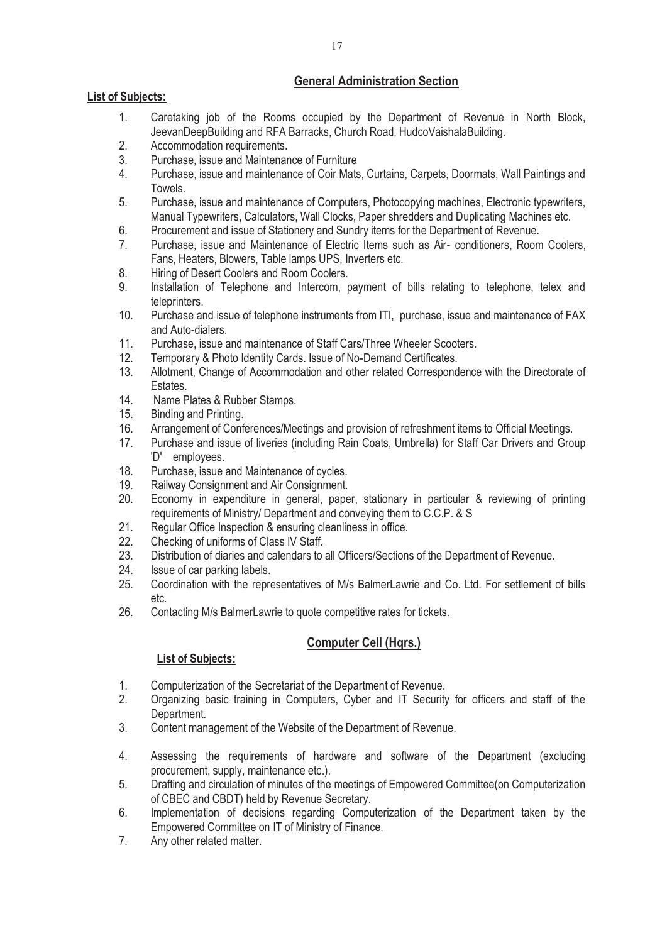## **General Administration Section**

### **List of Subjects:**

- 1. Caretaking job of the Rooms occupied by the Department of Revenue in North Block, JeevanDeepBuilding and RFA Barracks, Church Road, HudcoVaishalaBuilding.
- 2. Accommodation requirements.
- 3. Purchase, issue and Maintenance of Furniture
- 4. Purchase, issue and maintenance of Coir Mats, Curtains, Carpets, Doormats, Wall Paintings and Towels.
- 5. Purchase, issue and maintenance of Computers, Photocopying machines, Electronic typewriters, Manual Typewriters, Calculators, Wall Clocks, Paper shredders and Duplicating Machines etc.
- 6. Procurement and issue of Stationery and Sundry items for the Department of Revenue.
- 7. Purchase, issue and Maintenance of Electric Items such as Air- conditioners, Room Coolers, Fans, Heaters, Blowers, Table lamps UPS, Inverters etc.
- 8. Hiring of Desert Coolers and Room Coolers.
- 9. Installation of Telephone and Intercom, payment of bills relating to telephone, telex and teleprinters.
- 10. Purchase and issue of telephone instruments from ITI, purchase, issue and maintenance of FAX and Auto-dialers.
- 11. Purchase, issue and maintenance of Staff Cars/Three Wheeler Scooters.
- 12. Temporary & Photo Identity Cards. Issue of No-Demand Certificates.
- 13. Allotment, Change of Accommodation and other related Correspondence with the Directorate of Estates.
- 14. Name Plates & Rubber Stamps.
- 15. Binding and Printing.
- 16. Arrangement of Conferences/Meetings and provision of refreshment items to Official Meetings.
- 17. Purchase and issue of liveries (including Rain Coats, Umbrella) for Staff Car Drivers and Group 'D' employees.
- 18. Purchase, issue and Maintenance of cycles.
- 19. Railway Consignment and Air Consignment.
- 20. Economy in expenditure in general, paper, stationary in particular & reviewing of printing requirements of Ministry/ Department and conveying them to C.C.P. & S
- 21. Regular Office Inspection & ensuring cleanliness in office.
- 22. Checking of uniforms of Class IV Staff.
- 23. Distribution of diaries and calendars to all Officers/Sections of the Department of Revenue.
- 24. Issue of car parking labels.<br>25 Coordination with the repre
- 25. Coordination with the representatives of M/s BalmerLawrie and Co. Ltd. For settlement of bills etc.
- 26. Contacting M/s BalmerLawrie to quote competitive rates for tickets.

## **Computer Cell (Hqrs.)**

- 1. Computerization of the Secretariat of the Department of Revenue.
- 2. Organizing basic training in Computers, Cyber and IT Security for officers and staff of the Department.
- 3. Content management of the Website of the Department of Revenue.
- 4. Assessing the requirements of hardware and software of the Department (excluding procurement, supply, maintenance etc.).
- 5. Drafting and circulation of minutes of the meetings of Empowered Committee(on Computerization of CBEC and CBDT) held by Revenue Secretary.
- 6. Implementation of decisions regarding Computerization of the Department taken by the Empowered Committee on IT of Ministry of Finance.
- 7. Any other related matter.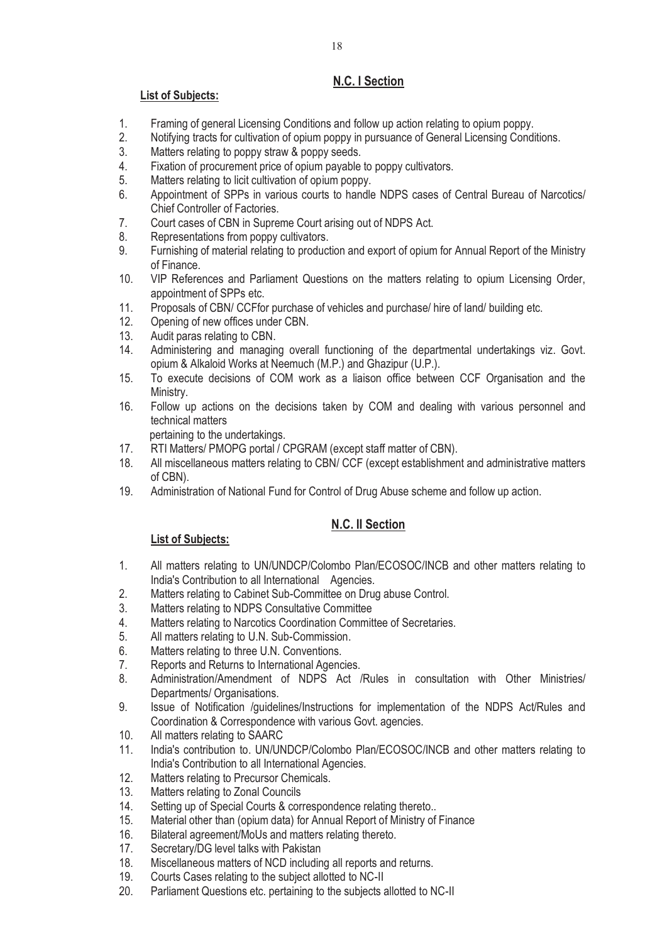# **N.C. I Section**

## **List of Subjects:**

- 1. Framing of general Licensing Conditions and follow up action relating to opium poppy.
- 2. Notifying tracts for cultivation of opium poppy in pursuance of General Licensing Conditions.
- 3. Matters relating to poppy straw & poppy seeds.
- 4. Fixation of procurement price of opium payable to poppy cultivators.<br>5. Matters relating to licit cultivation of opium poppy.
- Matters relating to licit cultivation of opium poppy.
- 6. Appointment of SPPs in various courts to handle NDPS cases of Central Bureau of Narcotics/ Chief Controller of Factories.
- 7. Court cases of CBN in Supreme Court arising out of NDPS Act.
- 8. Representations from poppy cultivators.
- 9. Furnishing of material relating to production and export of opium for Annual Report of the Ministry of Finance.
- 10. VIP References and Parliament Questions on the matters relating to opium Licensing Order, appointment of SPPs etc.
- 11. Proposals of CBN/ CCFfor purchase of vehicles and purchase/ hire of land/ building etc.
- 12. Opening of new offices under CBN.
- 13. Audit paras relating to CBN.
- 14. Administering and managing overall functioning of the departmental undertakings viz. Govt. opium & Alkaloid Works at Neemuch (M.P.) and Ghazipur (U.P.).
- 15. To execute decisions of COM work as a liaison office between CCF Organisation and the Ministry.
- 16. Follow up actions on the decisions taken by COM and dealing with various personnel and technical matters

pertaining to the undertakings.<br>17. RTI Matters/ PMOPG portal / C

- RTI Matters/ PMOPG portal / CPGRAM (except staff matter of CBN).
- 18. All miscellaneous matters relating to CBN/ CCF (except establishment and administrative matters of CBN).
- 19. Administration of National Fund for Control of Drug Abuse scheme and follow up action.

# **N.C. II Section**

- 1. All matters relating to UN/UNDCP/Colombo Plan/ECOSOC/INCB and other matters relating to India's Contribution to all International Agencies.
- 2. Matters relating to Cabinet Sub-Committee on Drug abuse Control.
- 3. Matters relating to NDPS Consultative Committee
- 4. Matters relating to Narcotics Coordination Committee of Secretaries.
- 5. All matters relating to U.N. Sub-Commission.
- 6. Matters relating to three U.N. Conventions.
- 7. Reports and Returns to International Agencies.
- 8. Administration/Amendment of NDPS Act /Rules in consultation with Other Ministries/ Departments/ Organisations.
- 9. Issue of Notification /guidelines/Instructions for implementation of the NDPS Act/Rules and Coordination & Correspondence with various Govt. agencies.
- 10. All matters relating to SAARC
- 11. India's contribution to. UN/UNDCP/Colombo Plan/ECOSOC/INCB and other matters relating to India's Contribution to all International Agencies.
- 12. Matters relating to Precursor Chemicals.
- 13. Matters relating to Zonal Councils
- 14. Setting up of Special Courts & correspondence relating thereto..
- 15. Material other than (opium data) for Annual Report of Ministry of Finance
- 16. Bilateral agreement/MoUs and matters relating thereto.
- 17. Secretary/DG level talks with Pakistan<br>18. Miscellaneous matters of NCD includin
- Miscellaneous matters of NCD including all reports and returns.
- 19. Courts Cases relating to the subject allotted to NC-II
- 20. Parliament Questions etc. pertaining to the subjects allotted to NC-II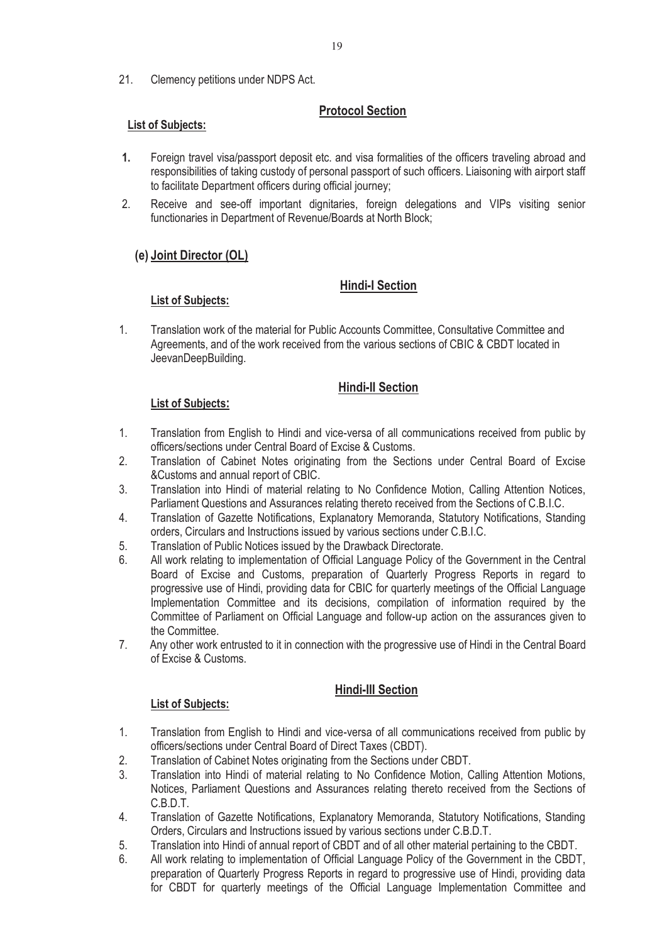21. Clemency petitions under NDPS Act.

# **Protocol Section**

#### **List of Subjects:**

- **1.** Foreign travel visa/passport deposit etc. and visa formalities of the officers traveling abroad and responsibilities of taking custody of personal passport of such officers. Liaisoning with airport staff to facilitate Department officers during official journey;
- 2. Receive and see-off important dignitaries, foreign delegations and VIPs visiting senior functionaries in Department of Revenue/Boards at North Block;

## **(e) Joint Director (OL)**

## **Hindi-I Section**

#### **List of Subjects:**

1. Translation work of the material for Public Accounts Committee, Consultative Committee and Agreements, and of the work received from the various sections of CBIC & CBDT located in JeevanDeepBuilding.

## **Hindi-II Section**

#### **List of Subjects:**

- 1. Translation from English to Hindi and vice-versa of all communications received from public by officers/sections under Central Board of Excise & Customs.
- 2. Translation of Cabinet Notes originating from the Sections under Central Board of Excise &Customs and annual report of CBIC.
- 3. Translation into Hindi of material relating to No Confidence Motion, Calling Attention Notices, Parliament Questions and Assurances relating thereto received from the Sections of C.B.I.C.
- 4. Translation of Gazette Notifications, Explanatory Memoranda, Statutory Notifications, Standing orders, Circulars and Instructions issued by various sections under C.B.I.C.
- 5. Translation of Public Notices issued by the Drawback Directorate.
- 6. All work relating to implementation of Official Language Policy of the Government in the Central Board of Excise and Customs, preparation of Quarterly Progress Reports in regard to progressive use of Hindi, providing data for CBIC for quarterly meetings of the Official Language Implementation Committee and its decisions, compilation of information required by the Committee of Parliament on Official Language and follow-up action on the assurances given to the Committee.
- 7. Any other work entrusted to it in connection with the progressive use of Hindi in the Central Board of Excise & Customs.

## **Hindi-III Section**

- 1. Translation from English to Hindi and vice-versa of all communications received from public by officers/sections under Central Board of Direct Taxes (CBDT).
- 2. Translation of Cabinet Notes originating from the Sections under CBDT.
- 3. Translation into Hindi of material relating to No Confidence Motion, Calling Attention Motions, Notices, Parliament Questions and Assurances relating thereto received from the Sections of C.B.D.T.
- 4. Translation of Gazette Notifications, Explanatory Memoranda, Statutory Notifications, Standing Orders, Circulars and Instructions issued by various sections under C.B.D.T.
- 5. Translation into Hindi of annual report of CBDT and of all other material pertaining to the CBDT.
- 6. All work relating to implementation of Official Language Policy of the Government in the CBDT, preparation of Quarterly Progress Reports in regard to progressive use of Hindi, providing data for CBDT for quarterly meetings of the Official Language Implementation Committee and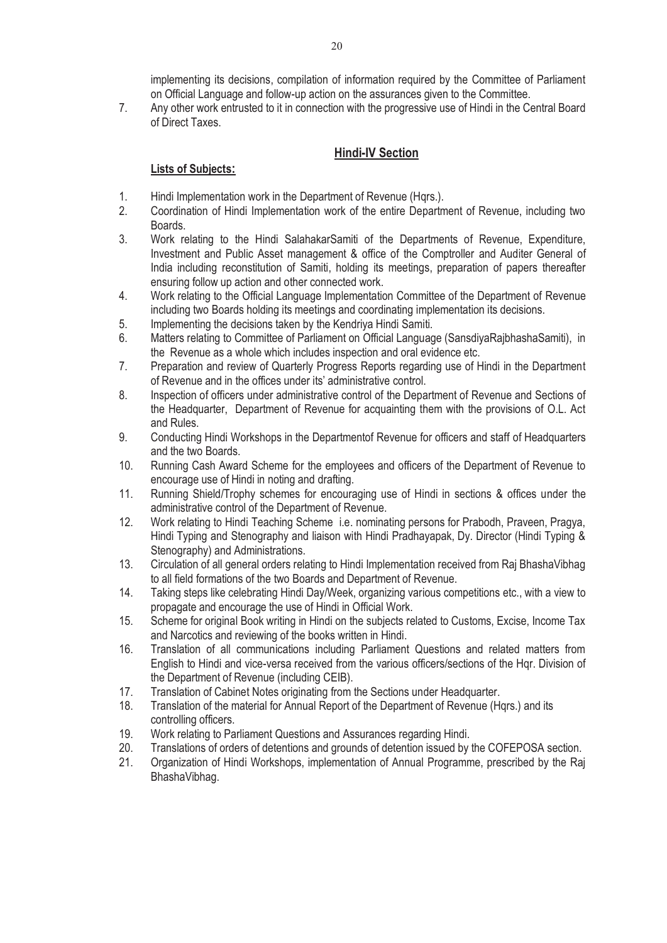implementing its decisions, compilation of information required by the Committee of Parliament on Official Language and follow-up action on the assurances given to the Committee.

7. Any other work entrusted to it in connection with the progressive use of Hindi in the Central Board of Direct Taxes.

# **Hindi-IV Section**

- 1. Hindi Implementation work in the Department of Revenue (Hqrs.).
- 2. Coordination of Hindi Implementation work of the entire Department of Revenue, including two Boards.
- 3. Work relating to the Hindi SalahakarSamiti of the Departments of Revenue, Expenditure, Investment and Public Asset management & office of the Comptroller and Auditer General of India including reconstitution of Samiti, holding its meetings, preparation of papers thereafter ensuring follow up action and other connected work.
- 4. Work relating to the Official Language Implementation Committee of the Department of Revenue including two Boards holding its meetings and coordinating implementation its decisions.
- 5. Implementing the decisions taken by the Kendriya Hindi Samiti.
- 6. Matters relating to Committee of Parliament on Official Language (SansdiyaRajbhashaSamiti), in the Revenue as a whole which includes inspection and oral evidence etc.
- 7. Preparation and review of Quarterly Progress Reports regarding use of Hindi in the Department of Revenue and in the offices under its' administrative control.
- 8. Inspection of officers under administrative control of the Department of Revenue and Sections of the Headquarter, Department of Revenue for acquainting them with the provisions of O.L. Act and Rules.
- 9. Conducting Hindi Workshops in the Departmentof Revenue for officers and staff of Headquarters and the two Boards.
- 10. Running Cash Award Scheme for the employees and officers of the Department of Revenue to encourage use of Hindi in noting and drafting.
- 11. Running Shield/Trophy schemes for encouraging use of Hindi in sections & offices under the administrative control of the Department of Revenue.
- 12. Work relating to Hindi Teaching Scheme i.e. nominating persons for Prabodh, Praveen, Pragya, Hindi Typing and Stenography and liaison with Hindi Pradhayapak, Dy. Director (Hindi Typing & Stenography) and Administrations.
- 13. Circulation of all general orders relating to Hindi Implementation received from Raj BhashaVibhag to all field formations of the two Boards and Department of Revenue.
- 14. Taking steps like celebrating Hindi Day/Week, organizing various competitions etc., with a view to propagate and encourage the use of Hindi in Official Work.
- 15. Scheme for original Book writing in Hindi on the subjects related to Customs, Excise, Income Tax and Narcotics and reviewing of the books written in Hindi.
- 16. Translation of all communications including Parliament Questions and related matters from English to Hindi and vice-versa received from the various officers/sections of the Hqr. Division of the Department of Revenue (including CEIB).
- 17. Translation of Cabinet Notes originating from the Sections under Headquarter.
- 18. Translation of the material for Annual Report of the Department of Revenue (Hqrs.) and its controlling officers.
- 19. Work relating to Parliament Questions and Assurances regarding Hindi.
- 20. Translations of orders of detentions and grounds of detention issued by the COFEPOSA section.
- 21. Organization of Hindi Workshops, implementation of Annual Programme, prescribed by the Raj BhashaVibhag.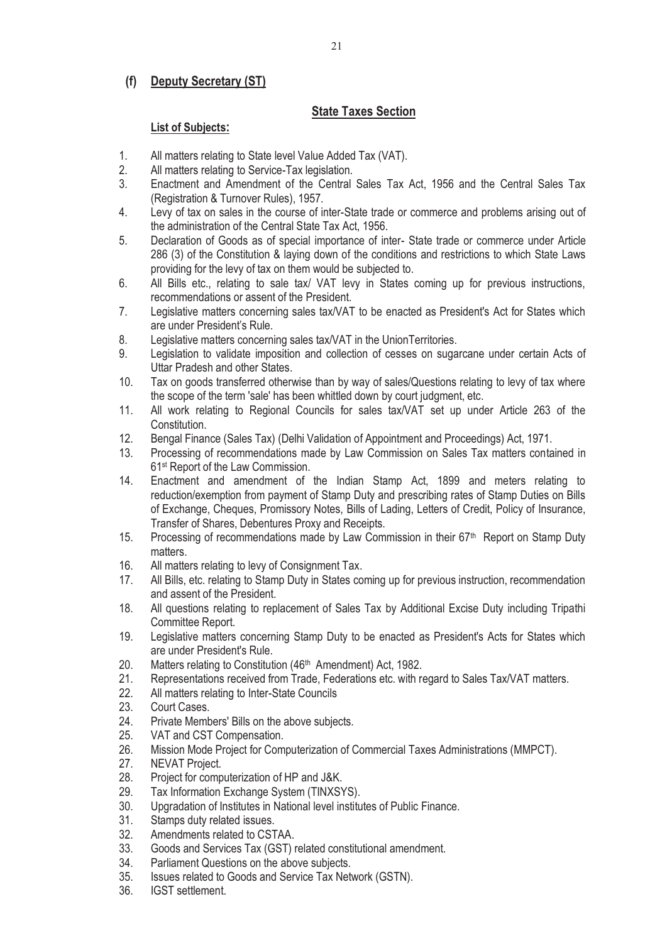## **(f) Deputy Secretary (ST)**

## **State Taxes Section**

- 1. All matters relating to State level Value Added Tax (VAT).
- 2. All matters relating to Service-Tax legislation.
- 3. Enactment and Amendment of the Central Sales Tax Act, 1956 and the Central Sales Tax (Registration & Turnover Rules), 1957.
- 4. Levy of tax on sales in the course of inter-State trade or commerce and problems arising out of the administration of the Central State Tax Act, 1956.
- 5. Declaration of Goods as of special importance of inter- State trade or commerce under Article 286 (3) of the Constitution & laying down of the conditions and restrictions to which State Laws providing for the levy of tax on them would be subjected to.
- 6. All Bills etc., relating to sale tax/ VAT levy in States coming up for previous instructions, recommendations or assent of the President.
- 7. Legislative matters concerning sales tax/VAT to be enacted as President's Act for States which are under President's Rule.
- 8. Legislative matters concerning sales tax/VAT in the UnionTerritories.
- 9. Legislation to validate imposition and collection of cesses on sugarcane under certain Acts of Uttar Pradesh and other States.
- 10. Tax on goods transferred otherwise than by way of sales/Questions relating to levy of tax where the scope of the term 'sale' has been whittled down by court judgment, etc.
- 11. All work relating to Regional Councils for sales tax/VAT set up under Article 263 of the Constitution.
- 12. Bengal Finance (Sales Tax) (Delhi Validation of Appointment and Proceedings) Act, 1971.
- 13. Processing of recommendations made by Law Commission on Sales Tax matters contained in 61st Report of the Law Commission.
- 14. Enactment and amendment of the Indian Stamp Act, 1899 and meters relating to reduction/exemption from payment of Stamp Duty and prescribing rates of Stamp Duties on Bills of Exchange, Cheques, Promissory Notes, Bills of Lading, Letters of Credit, Policy of Insurance, Transfer of Shares, Debentures Proxy and Receipts.
- 15. Processing of recommendations made by Law Commission in their 67<sup>th</sup> Report on Stamp Duty matters.
- 16. All matters relating to levy of Consignment Tax.
- 17. All Bills, etc. relating to Stamp Duty in States coming up for previous instruction, recommendation and assent of the President.
- 18. All questions relating to replacement of Sales Tax by Additional Excise Duty including Tripathi Committee Report.
- 19. Legislative matters concerning Stamp Duty to be enacted as President's Acts for States which are under President's Rule.
- 20. Matters relating to Constitution (46<sup>th</sup> Amendment) Act, 1982.
- 21. Representations received from Trade, Federations etc. with regard to Sales Tax/VAT matters.
- 22. All matters relating to Inter-State Councils
- 23. Court Cases.
- 24. Private Members' Bills on the above subjects.
- 25. VAT and CST Compensation.
- 26. Mission Mode Project for Computerization of Commercial Taxes Administrations (MMPCT).
- 27. NEVAT Project.
- 28. Project for computerization of HP and J&K.<br>29. Tax Information Exchange System (TINXS)
- Tax Information Exchange System (TINXSYS).
- 30. Upgradation of Institutes in National level institutes of Public Finance.
- 31. Stamps duty related issues.
- 32. Amendments related to CSTAA.
- 33. Goods and Services Tax (GST) related constitutional amendment.
- 34. Parliament Questions on the above subjects.
- 35. Issues related to Goods and Service Tax Network (GSTN).
- 36. IGST settlement.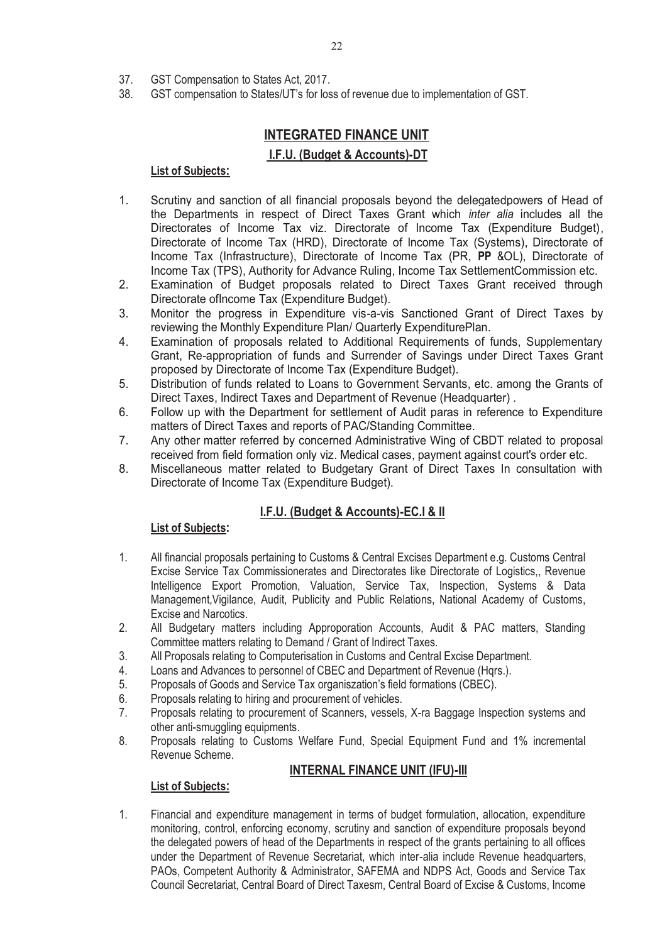- 37. GST Compensation to States Act, 2017.<br>38. GST compensation to States/UT's for los
- 38. GST compensation to States/UT's for loss of revenue due to implementation of GST.

# **INTEGRATED FINANCE UNIT**

## **I.F.U. (Budget & Accounts)-DT**

#### **List of Subjects:**

- 1. Scrutiny and sanction of all financial proposals beyond the delegatedpowers of Head of the Departments in respect of Direct Taxes Grant which *inter alia* includes all the Directorates of Income Tax viz. Directorate of Income Tax (Expenditure Budget), Directorate of Income Tax (HRD), Directorate of Income Tax (Systems), Directorate of Income Tax (Infrastructure), Directorate of Income Tax (PR, **PP** &OL), Directorate of Income Tax (TPS), Authority for Advance Ruling, Income Tax SettlementCommission etc.
- 2. Examination of Budget proposals related to Direct Taxes Grant received through Directorate ofIncome Tax (Expenditure Budget).
- 3. Monitor the progress in Expenditure vis-a-vis Sanctioned Grant of Direct Taxes by reviewing the Monthly Expenditure Plan/ Quarterly ExpenditurePlan.
- 4. Examination of proposals related to Additional Requirements of funds, Supplementary Grant, Re-appropriation of funds and Surrender of Savings under Direct Taxes Grant proposed by Directorate of Income Tax (Expenditure Budget).
- 5. Distribution of funds related to Loans to Government Servants, etc. among the Grants of Direct Taxes, Indirect Taxes and Department of Revenue (Headquarter) .
- 6. Follow up with the Department for settlement of Audit paras in reference to Expenditure matters of Direct Taxes and reports of PAC/Standing Committee.
- 7. Any other matter referred by concerned Administrative Wing of CBDT related to proposal received from field formation only viz. Medical cases, payment against court's order etc.
- 8. Miscellaneous matter related to Budgetary Grant of Direct Taxes In consultation with Directorate of Income Tax (Expenditure Budget).

## **I.F.U. (Budget & Accounts)-EC.I & II**

#### **List of Subjects:**

- 1. All financial proposals pertaining to Customs & Central Excises Department e.g. Customs Central Excise Service Tax Commissionerates and Directorates like Directorate of Logistics,, Revenue Intelligence Export Promotion, Valuation, Service Tax, Inspection, Systems & Data Management,Vigilance, Audit, Publicity and Public Relations, National Academy of Customs, Excise and Narcotics.
- 2. All Budgetary matters including Approporation Accounts, Audit & PAC matters, Standing Committee matters relating to Demand / Grant of Indirect Taxes.
- 3. All Proposals relating to Computerisation in Customs and Central Excise Department.
- 4. Loans and Advances to personnel of CBEC and Department of Revenue (Hqrs.).<br>5. Proposals of Goods and Service Tax organiszation's field formations (CBEC).
- 5. Proposals of Goods and Service Tax organiszation's field formations (CBEC).
- 6. Proposals relating to hiring and procurement of vehicles.
- 7. Proposals relating to procurement of Scanners, vessels, X-ra Baggage Inspection systems and other anti-smuggling equipments.
- 8. Proposals relating to Customs Welfare Fund, Special Equipment Fund and 1% incremental Revenue Scheme.

## **INTERNAL FINANCE UNIT (IFU)-III**

#### **List of Subjects:**

1. Financial and expenditure management in terms of budget formulation, allocation, expenditure monitoring, control, enforcing economy, scrutiny and sanction of expenditure proposals beyond the delegated powers of head of the Departments in respect of the grants pertaining to all offices under the Department of Revenue Secretariat, which inter-alia include Revenue headquarters, PAOs, Competent Authority & Administrator, SAFEMA and NDPS Act, Goods and Service Tax Council Secretariat, Central Board of Direct Taxesm, Central Board of Excise & Customs, Income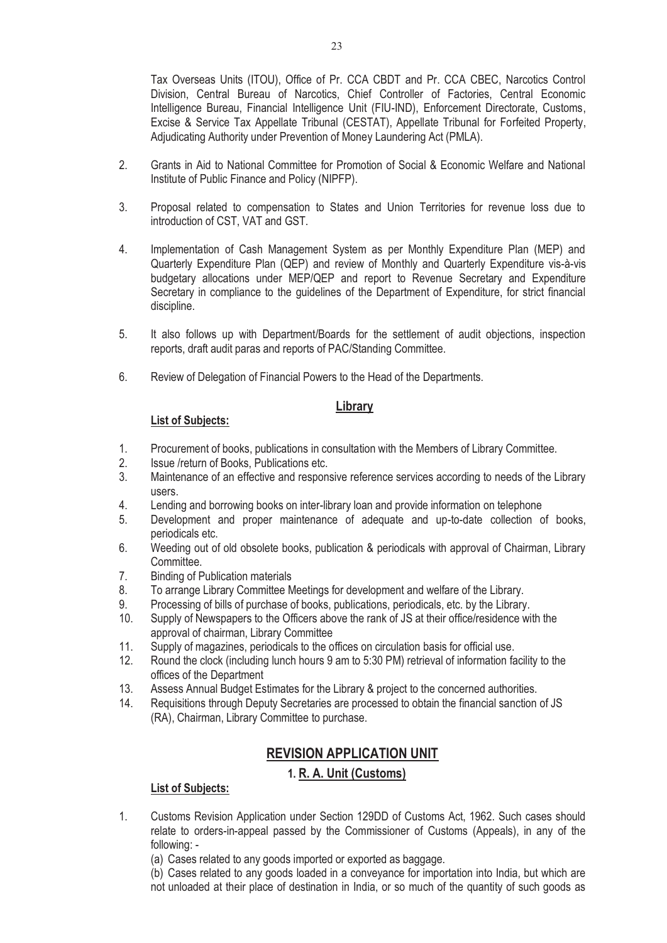Tax Overseas Units (ITOU), Office of Pr. CCA CBDT and Pr. CCA CBEC, Narcotics Control Division, Central Bureau of Narcotics, Chief Controller of Factories, Central Economic Intelligence Bureau, Financial Intelligence Unit (FIU-IND), Enforcement Directorate, Customs, Excise & Service Tax Appellate Tribunal (CESTAT), Appellate Tribunal for Forfeited Property, Adjudicating Authority under Prevention of Money Laundering Act (PMLA).

- 2. Grants in Aid to National Committee for Promotion of Social & Economic Welfare and National Institute of Public Finance and Policy (NIPFP).
- 3. Proposal related to compensation to States and Union Territories for revenue loss due to introduction of CST, VAT and GST.
- 4. Implementation of Cash Management System as per Monthly Expenditure Plan (MEP) and Quarterly Expenditure Plan (QEP) and review of Monthly and Quarterly Expenditure vis-à-vis budgetary allocations under MEP/QEP and report to Revenue Secretary and Expenditure Secretary in compliance to the guidelines of the Department of Expenditure, for strict financial discipline.
- 5. It also follows up with Department/Boards for the settlement of audit objections, inspection reports, draft audit paras and reports of PAC/Standing Committee.
- 6. Review of Delegation of Financial Powers to the Head of the Departments.

#### **Library**

#### **List of Subjects:**

- 1. Procurement of books, publications in consultation with the Members of Library Committee.
- 2. Issue /return of Books, Publications etc.
- 3. Maintenance of an effective and responsive reference services according to needs of the Library users.
- 4. Lending and borrowing books on inter-library loan and provide information on telephone
- 5. Development and proper maintenance of adequate and up-to-date collection of books, periodicals etc.
- 6. Weeding out of old obsolete books, publication & periodicals with approval of Chairman, Library Committee.
- 7. Binding of Publication materials
- 8. To arrange Library Committee Meetings for development and welfare of the Library.
- 9. Processing of bills of purchase of books, publications, periodicals, etc. by the Library.
- 10. Supply of Newspapers to the Officers above the rank of JS at their office/residence with the approval of chairman, Library Committee
- 11. Supply of magazines, periodicals to the offices on circulation basis for official use.
- 12. Round the clock (including lunch hours 9 am to 5:30 PM) retrieval of information facility to the offices of the Department
- 13. Assess Annual Budget Estimates for the Library & project to the concerned authorities.
- 14. Requisitions through Deputy Secretaries are processed to obtain the financial sanction of JS (RA), Chairman, Library Committee to purchase.

# **REVISION APPLICATION UNIT**

## **1. R. A. Unit (Customs)**

- 1. Customs Revision Application under Section 129DD of Customs Act, 1962. Such cases should relate to orders-in-appeal passed by the Commissioner of Customs (Appeals), in any of the following: -
	- (a) Cases related to any goods imported or exported as baggage.
	- (b) Cases related to any goods loaded in a conveyance for importation into India, but which are not unloaded at their place of destination in India, or so much of the quantity of such goods as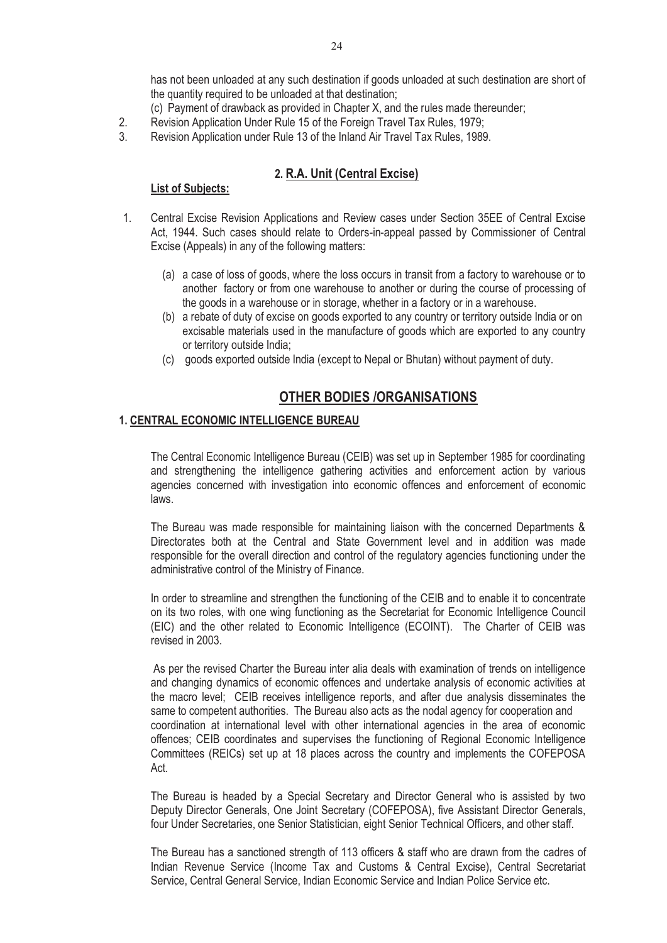has not been unloaded at any such destination if goods unloaded at such destination are short of the quantity required to be unloaded at that destination;

- (c) Payment of drawback as provided in Chapter X, and the rules made thereunder;
- 2. Revision Application Under Rule 15 of the Foreign Travel Tax Rules, 1979;
- 3. Revision Application under Rule 13 of the Inland Air Travel Tax Rules, 1989.

## **2. R.A. Unit (Central Excise)**

#### **List of Subjects:**

- 1. Central Excise Revision Applications and Review cases under Section 35EE of Central Excise Act, 1944. Such cases should relate to Orders-in-appeal passed by Commissioner of Central Excise (Appeals) in any of the following matters:
	- (a) a case of loss of goods, where the loss occurs in transit from a factory to warehouse or to another factory or from one warehouse to another or during the course of processing of the goods in a warehouse or in storage, whether in a factory or in a warehouse.
	- (b) a rebate of duty of excise on goods exported to any country or territory outside India or on excisable materials used in the manufacture of goods which are exported to any country or territory outside India;
	- (c) goods exported outside India (except to Nepal or Bhutan) without payment of duty.

# **OTHER BODIES /ORGANISATIONS**

#### **1. CENTRAL ECONOMIC INTELLIGENCE BUREAU**

 The Central Economic Intelligence Bureau (CEIB) was set up in September 1985 for coordinating and strengthening the intelligence gathering activities and enforcement action by various agencies concerned with investigation into economic offences and enforcement of economic laws.

 The Bureau was made responsible for maintaining liaison with the concerned Departments & Directorates both at the Central and State Government level and in addition was made responsible for the overall direction and control of the regulatory agencies functioning under the administrative control of the Ministry of Finance.

 In order to streamline and strengthen the functioning of the CEIB and to enable it to concentrate on its two roles, with one wing functioning as the Secretariat for Economic Intelligence Council (EIC) and the other related to Economic Intelligence (ECOINT). The Charter of CEIB was revised in 2003.

 As per the revised Charter the Bureau inter alia deals with examination of trends on intelligence and changing dynamics of economic offences and undertake analysis of economic activities at the macro level; CEIB receives intelligence reports, and after due analysis disseminates the same to competent authorities. The Bureau also acts as the nodal agency for cooperation and coordination at international level with other international agencies in the area of economic offences; CEIB coordinates and supervises the functioning of Regional Economic Intelligence Committees (REICs) set up at 18 places across the country and implements the COFEPOSA Act.

 The Bureau is headed by a Special Secretary and Director General who is assisted by two Deputy Director Generals, One Joint Secretary (COFEPOSA), five Assistant Director Generals, four Under Secretaries, one Senior Statistician, eight Senior Technical Officers, and other staff.

 The Bureau has a sanctioned strength of 113 officers & staff who are drawn from the cadres of Indian Revenue Service (Income Tax and Customs & Central Excise), Central Secretariat Service, Central General Service, Indian Economic Service and Indian Police Service etc.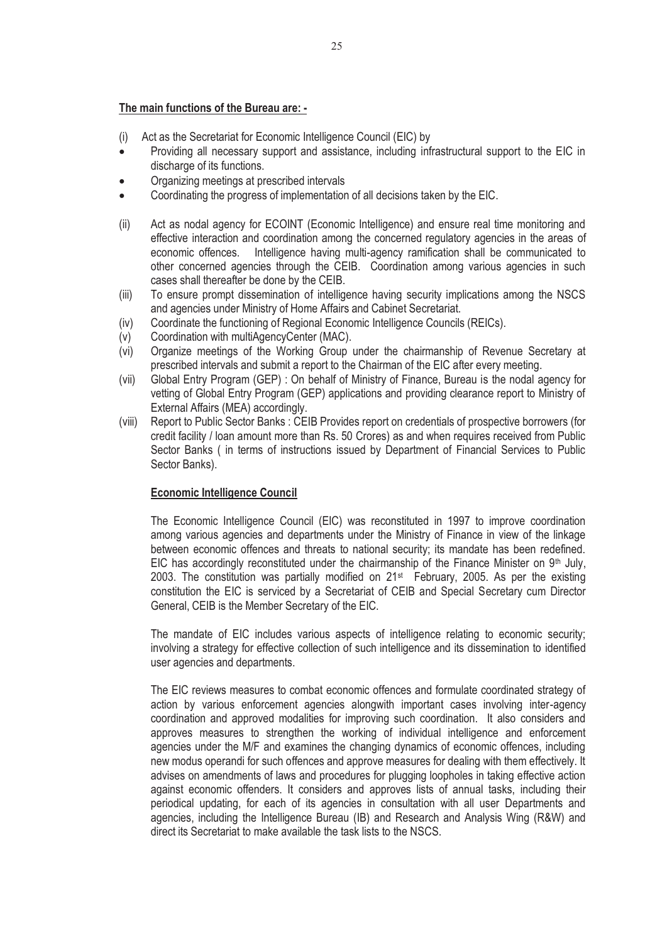#### **The main functions of the Bureau are: -**

- (i) Act as the Secretariat for Economic Intelligence Council (EIC) by
- $\bullet$  Providing all necessary support and assistance, including infrastructural support to the EIC in discharge of its functions.
- -Organizing meetings at prescribed intervals
- -Coordinating the progress of implementation of all decisions taken by the EIC.
- (ii) Act as nodal agency for ECOINT (Economic Intelligence) and ensure real time monitoring and effective interaction and coordination among the concerned regulatory agencies in the areas of economic offences. Intelligence having multi-agency ramification shall be communicated to other concerned agencies through the CEIB. Coordination among various agencies in such cases shall thereafter be done by the CEIB.
- (iii) To ensure prompt dissemination of intelligence having security implications among the NSCS and agencies under Ministry of Home Affairs and Cabinet Secretariat.
- (iv) Coordinate the functioning of Regional Economic Intelligence Councils (REICs).
- (v) Coordination with multiAgencyCenter (MAC).
- (vi) Organize meetings of the Working Group under the chairmanship of Revenue Secretary at prescribed intervals and submit a report to the Chairman of the EIC after every meeting.
- (vii) Global Entry Program (GEP) : On behalf of Ministry of Finance, Bureau is the nodal agency for vetting of Global Entry Program (GEP) applications and providing clearance report to Ministry of External Affairs (MEA) accordingly.
- (viii) Report to Public Sector Banks : CEIB Provides report on credentials of prospective borrowers (for credit facility / loan amount more than Rs. 50 Crores) as and when requires received from Public Sector Banks ( in terms of instructions issued by Department of Financial Services to Public Sector Banks).

#### **Economic Intelligence Council**

 The Economic Intelligence Council (EIC) was reconstituted in 1997 to improve coordination among various agencies and departments under the Ministry of Finance in view of the linkage between economic offences and threats to national security; its mandate has been redefined. EIC has accordingly reconstituted under the chairmanship of the Finance Minister on  $9<sup>th</sup>$  July, 2003. The constitution was partially modified on 21st February, 2005. As per the existing constitution the EIC is serviced by a Secretariat of CEIB and Special Secretary cum Director General, CEIB is the Member Secretary of the EIC.

 The mandate of EIC includes various aspects of intelligence relating to economic security; involving a strategy for effective collection of such intelligence and its dissemination to identified user agencies and departments.

 The EIC reviews measures to combat economic offences and formulate coordinated strategy of action by various enforcement agencies alongwith important cases involving inter-agency coordination and approved modalities for improving such coordination. It also considers and approves measures to strengthen the working of individual intelligence and enforcement agencies under the M/F and examines the changing dynamics of economic offences, including new modus operandi for such offences and approve measures for dealing with them effectively. It advises on amendments of laws and procedures for plugging loopholes in taking effective action against economic offenders. It considers and approves lists of annual tasks, including their periodical updating, for each of its agencies in consultation with all user Departments and agencies, including the Intelligence Bureau (IB) and Research and Analysis Wing (R&W) and direct its Secretariat to make available the task lists to the NSCS.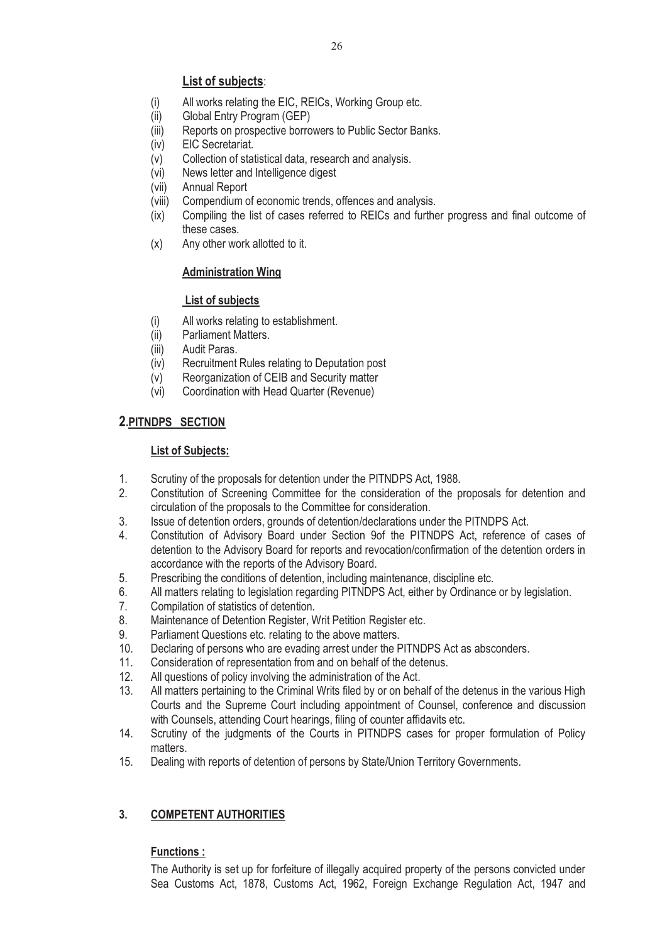# **List of subjects**:

- (i) All works relating the EIC, REICs, Working Group etc.
- (ii) Global Entry Program (GEP)
- (iii) Reports on prospective borrowers to Public Sector Banks.
- (iv) EIC Secretariat.
- (v) Collection of statistical data, research and analysis.
- (vi) News letter and Intelligence digest
- (vii) Annual Report
- (viii) Compendium of economic trends, offences and analysis.<br>(ix) Compiling the list of cases referred to REICs and furthe
- Compiling the list of cases referred to REICs and further progress and final outcome of these cases.
- (x) Any other work allotted to it.

## **Administration Wing**

## **List of subjects**

- (i) All works relating to establishment.
- (ii) Parliament Matters.
- (iii) Audit Paras.
- (iv) Recruitment Rules relating to Deputation post
- (v) Reorganization of CEIB and Security matter<br>(vi) Coordination with Head Quarter (Revenue)
- Coordination with Head Quarter (Revenue)

# **2.PITNDPS SECTION**

## **List of Subjects:**

- 1. Scrutiny of the proposals for detention under the PITNDPS Act, 1988.
- 2. Constitution of Screening Committee for the consideration of the proposals for detention and circulation of the proposals to the Committee for consideration.
- 3. Issue of detention orders, grounds of detention/declarations under the PITNDPS Act.
- 4. Constitution of Advisory Board under Section 9of the PITNDPS Act, reference of cases of detention to the Advisory Board for reports and revocation/confirmation of the detention orders in accordance with the reports of the Advisory Board.
- 5. Prescribing the conditions of detention, including maintenance, discipline etc.
- 6. All matters relating to legislation regarding PITNDPS Act, either by Ordinance or by legislation.
- 7. Compilation of statistics of detention.
- 8. Maintenance of Detention Register, Writ Petition Register etc.
- 9. Parliament Questions etc. relating to the above matters.
- 10. Declaring of persons who are evading arrest under the PITNDPS Act as absconders.
- 11. Consideration of representation from and on behalf of the detenus.
- 12. All questions of policy involving the administration of the Act.
- 13. All matters pertaining to the Criminal Writs filed by or on behalf of the detenus in the various High Courts and the Supreme Court including appointment of Counsel, conference and discussion with Counsels, attending Court hearings, filing of counter affidavits etc.
- 14. Scrutiny of the judgments of the Courts in PITNDPS cases for proper formulation of Policy matters.
- 15. Dealing with reports of detention of persons by State/Union Territory Governments.

# **3. COMPETENT AUTHORITIES**

# **Functions :**

The Authority is set up for forfeiture of illegally acquired property of the persons convicted under Sea Customs Act, 1878, Customs Act, 1962, Foreign Exchange Regulation Act, 1947 and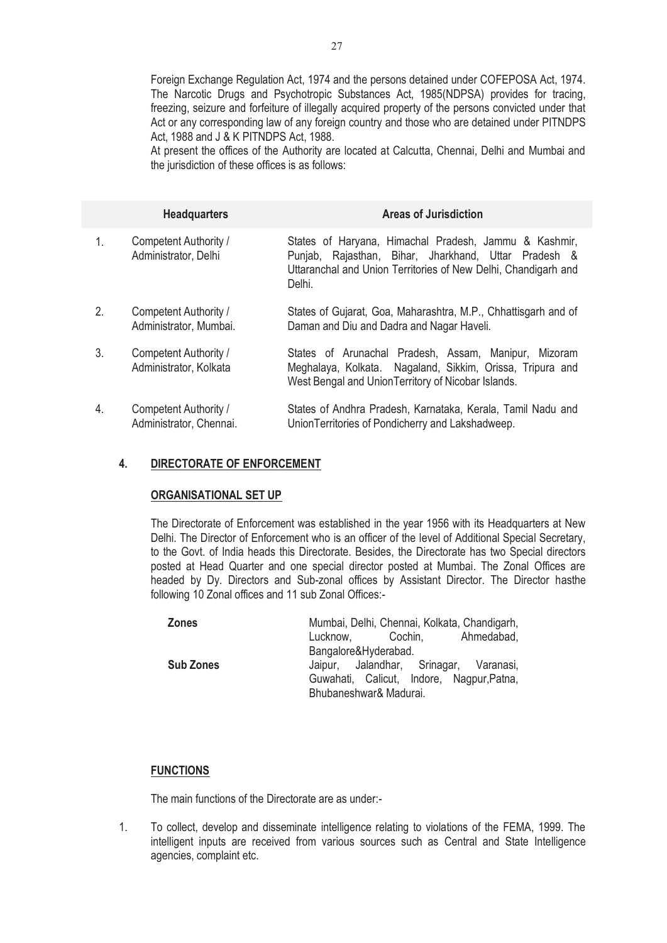Foreign Exchange Regulation Act, 1974 and the persons detained under COFEPOSA Act, 1974. The Narcotic Drugs and Psychotropic Substances Act, 1985(NDPSA) provides for tracing, freezing, seizure and forfeiture of illegally acquired property of the persons convicted under that Act or any corresponding law of any foreign country and those who are detained under PITNDPS Act, 1988 and J & K PITNDPS Act, 1988.

At present the offices of the Authority are located at Calcutta, Chennai, Delhi and Mumbai and the jurisdiction of these offices is as follows:

|                | <b>Headquarters</b>                              | <b>Areas of Jurisdiction</b>                                                                                                                                                              |
|----------------|--------------------------------------------------|-------------------------------------------------------------------------------------------------------------------------------------------------------------------------------------------|
| 1.             | Competent Authority /<br>Administrator, Delhi    | States of Haryana, Himachal Pradesh, Jammu & Kashmir,<br>Punjab, Rajasthan, Bihar, Jharkhand, Uttar Pradesh &<br>Uttaranchal and Union Territories of New Delhi, Chandigarh and<br>Delhi. |
| $\mathbf{2}$ . | Competent Authority /<br>Administrator, Mumbai.  | States of Gujarat, Goa, Maharashtra, M.P., Chhattisgarh and of<br>Daman and Diu and Dadra and Nagar Haveli.                                                                               |
| 3.             | Competent Authority /<br>Administrator, Kolkata  | States of Arunachal Pradesh, Assam, Manipur, Mizoram<br>Meghalaya, Kolkata. Nagaland, Sikkim, Orissa, Tripura and<br>West Bengal and Union Territory of Nicobar Islands.                  |
| 4.             | Competent Authority /<br>Administrator, Chennai. | States of Andhra Pradesh, Karnataka, Kerala, Tamil Nadu and<br>Union Territories of Pondicherry and Lakshadweep.                                                                          |

#### **4. DIRECTORATE OF ENFORCEMENT**

#### **ORGANISATIONAL SET UP**

 The Directorate of Enforcement was established in the year 1956 with its Headquarters at New Delhi. The Director of Enforcement who is an officer of the level of Additional Special Secretary, to the Govt. of India heads this Directorate. Besides, the Directorate has two Special directors posted at Head Quarter and one special director posted at Mumbai. The Zonal Offices are headed by Dy. Directors and Sub-zonal offices by Assistant Director. The Director hasthe following 10 Zonal offices and 11 sub Zonal Offices:-

| <b>Zones</b>     | Mumbai, Delhi, Chennai, Kolkata, Chandigarh, |  |
|------------------|----------------------------------------------|--|
|                  | Lucknow, Cochin, Ahmedabad,                  |  |
|                  | Bangalore&Hyderabad.                         |  |
| <b>Sub Zones</b> | Jaipur, Jalandhar, Srinagar, Varanasi,       |  |
|                  | Guwahati, Calicut, Indore, Nagpur, Patna,    |  |
|                  | Bhubaneshwar& Madurai.                       |  |

#### **FUNCTIONS**

The main functions of the Directorate are as under:-

1. To collect, develop and disseminate intelligence relating to violations of the FEMA, 1999. The intelligent inputs are received from various sources such as Central and State Intelligence agencies, complaint etc.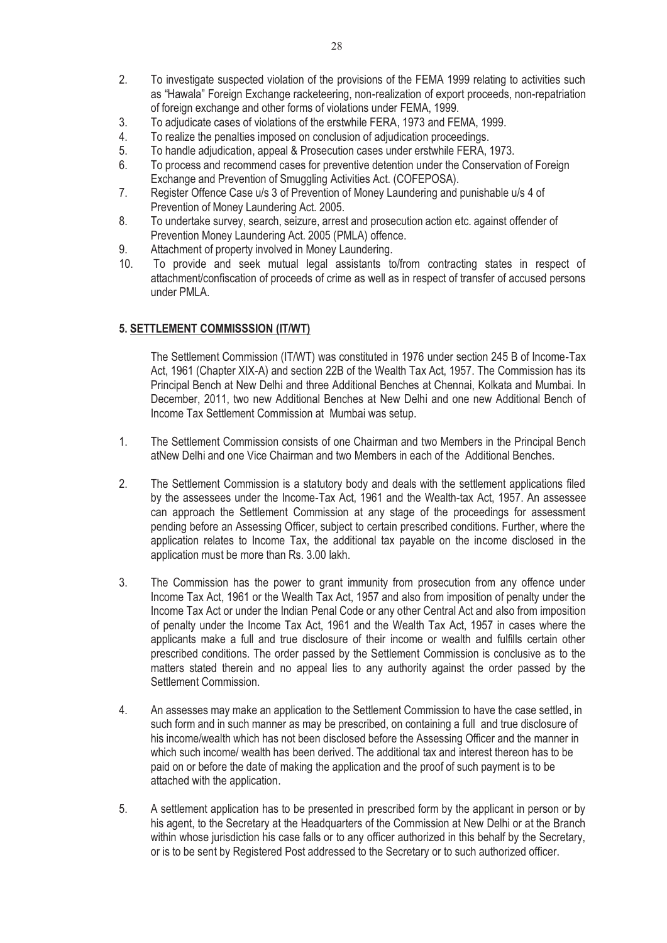- 2. To investigate suspected violation of the provisions of the FEMA 1999 relating to activities such as "Hawala" Foreign Exchange racketeering, non-realization of export proceeds, non-repatriation of foreign exchange and other forms of violations under FEMA, 1999.
- 3. To adjudicate cases of violations of the erstwhile FERA, 1973 and FEMA, 1999.
- 4. To realize the penalties imposed on conclusion of adjudication proceedings.
- 5. To handle adjudication, appeal & Prosecution cases under erstwhile FERA, 1973.
- 6. To process and recommend cases for preventive detention under the Conservation of Foreign Exchange and Prevention of Smuggling Activities Act. (COFEPOSA).
- 7. Register Offence Case u/s 3 of Prevention of Money Laundering and punishable u/s 4 of Prevention of Money Laundering Act. 2005.
- 8. To undertake survey, search, seizure, arrest and prosecution action etc. against offender of Prevention Money Laundering Act. 2005 (PMLA) offence.
- 9. Attachment of property involved in Money Laundering.
- 10. To provide and seek mutual legal assistants to/from contracting states in respect of attachment/confiscation of proceeds of crime as well as in respect of transfer of accused persons under PMLA.

#### **5. SETTLEMENT COMMISSSION (IT/WT)**

The Settlement Commission (IT/WT) was constituted in 1976 under section 245 B of Income-Tax Act, 1961 (Chapter XIX-A) and section 22B of the Wealth Tax Act, 1957. The Commission has its Principal Bench at New Delhi and three Additional Benches at Chennai, Kolkata and Mumbai. In December, 2011, two new Additional Benches at New Delhi and one new Additional Bench of Income Tax Settlement Commission at Mumbai was setup.

- 1. The Settlement Commission consists of one Chairman and two Members in the Principal Bench atNew Delhi and one Vice Chairman and two Members in each of the Additional Benches.
- 2. The Settlement Commission is a statutory body and deals with the settlement applications filed by the assessees under the Income-Tax Act, 1961 and the Wealth-tax Act, 1957. An assessee can approach the Settlement Commission at any stage of the proceedings for assessment pending before an Assessing Officer, subject to certain prescribed conditions. Further, where the application relates to Income Tax, the additional tax payable on the income disclosed in the application must be more than Rs. 3.00 lakh.
- 3. The Commission has the power to grant immunity from prosecution from any offence under Income Tax Act, 1961 or the Wealth Tax Act, 1957 and also from imposition of penalty under the Income Tax Act or under the Indian Penal Code or any other Central Act and also from imposition of penalty under the Income Tax Act, 1961 and the Wealth Tax Act, 1957 in cases where the applicants make a full and true disclosure of their income or wealth and fulfills certain other prescribed conditions. The order passed by the Settlement Commission is conclusive as to the matters stated therein and no appeal lies to any authority against the order passed by the Settlement Commission.
- 4. An assesses may make an application to the Settlement Commission to have the case settled, in such form and in such manner as may be prescribed, on containing a full and true disclosure of his income/wealth which has not been disclosed before the Assessing Officer and the manner in which such income/ wealth has been derived. The additional tax and interest thereon has to be paid on or before the date of making the application and the proof of such payment is to be attached with the application.
- 5. A settlement application has to be presented in prescribed form by the applicant in person or by his agent, to the Secretary at the Headquarters of the Commission at New Delhi or at the Branch within whose jurisdiction his case falls or to any officer authorized in this behalf by the Secretary, or is to be sent by Registered Post addressed to the Secretary or to such authorized officer.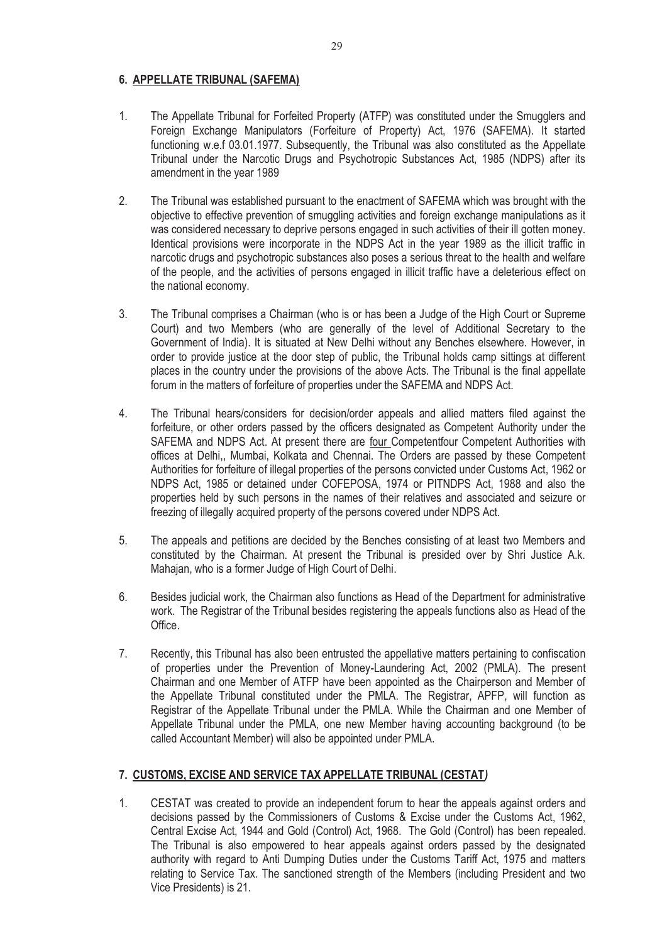## **6. APPELLATE TRIBUNAL (SAFEMA)**

- 1. The Appellate Tribunal for Forfeited Property (ATFP) was constituted under the Smugglers and Foreign Exchange Manipulators (Forfeiture of Property) Act, 1976 (SAFEMA). It started functioning w.e.f 03.01.1977. Subsequently, the Tribunal was also constituted as the Appellate Tribunal under the Narcotic Drugs and Psychotropic Substances Act, 1985 (NDPS) after its amendment in the year 1989
- 2. The Tribunal was established pursuant to the enactment of SAFEMA which was brought with the objective to effective prevention of smuggling activities and foreign exchange manipulations as it was considered necessary to deprive persons engaged in such activities of their ill gotten money. Identical provisions were incorporate in the NDPS Act in the year 1989 as the illicit traffic in narcotic drugs and psychotropic substances also poses a serious threat to the health and welfare of the people, and the activities of persons engaged in illicit traffic have a deleterious effect on the national economy.
- 3. The Tribunal comprises a Chairman (who is or has been a Judge of the High Court or Supreme Court) and two Members (who are generally of the level of Additional Secretary to the Government of India). It is situated at New Delhi without any Benches elsewhere. However, in order to provide justice at the door step of public, the Tribunal holds camp sittings at different places in the country under the provisions of the above Acts. The Tribunal is the final appellate forum in the matters of forfeiture of properties under the SAFEMA and NDPS Act.
- 4. The Tribunal hears/considers for decision/order appeals and allied matters filed against the forfeiture, or other orders passed by the officers designated as Competent Authority under the SAFEMA and NDPS Act. At present there are four Competentfour Competent Authorities with offices at Delhi,, Mumbai, Kolkata and Chennai. The Orders are passed by these Competent Authorities for forfeiture of illegal properties of the persons convicted under Customs Act, 1962 or NDPS Act, 1985 or detained under COFEPOSA, 1974 or PITNDPS Act, 1988 and also the properties held by such persons in the names of their relatives and associated and seizure or freezing of illegally acquired property of the persons covered under NDPS Act.
- 5. The appeals and petitions are decided by the Benches consisting of at least two Members and constituted by the Chairman. At present the Tribunal is presided over by Shri Justice A.k. Mahajan, who is a former Judge of High Court of Delhi.
- 6. Besides judicial work, the Chairman also functions as Head of the Department for administrative work. The Registrar of the Tribunal besides registering the appeals functions also as Head of the Office.
- 7. Recently, this Tribunal has also been entrusted the appellative matters pertaining to confiscation of properties under the Prevention of Money-Laundering Act, 2002 (PMLA). The present Chairman and one Member of ATFP have been appointed as the Chairperson and Member of the Appellate Tribunal constituted under the PMLA. The Registrar, APFP, will function as Registrar of the Appellate Tribunal under the PMLA. While the Chairman and one Member of Appellate Tribunal under the PMLA, one new Member having accounting background (to be called Accountant Member) will also be appointed under PMLA.

#### **7. CUSTOMS, EXCISE AND SERVICE TAX APPELLATE TRIBUNAL (CESTAT***)*

1. CESTAT was created to provide an independent forum to hear the appeals against orders and decisions passed by the Commissioners of Customs & Excise under the Customs Act, 1962, Central Excise Act, 1944 and Gold (Control) Act, 1968. The Gold (Control) has been repealed. The Tribunal is also empowered to hear appeals against orders passed by the designated authority with regard to Anti Dumping Duties under the Customs Tariff Act, 1975 and matters relating to Service Tax. The sanctioned strength of the Members (including President and two Vice Presidents) is 21.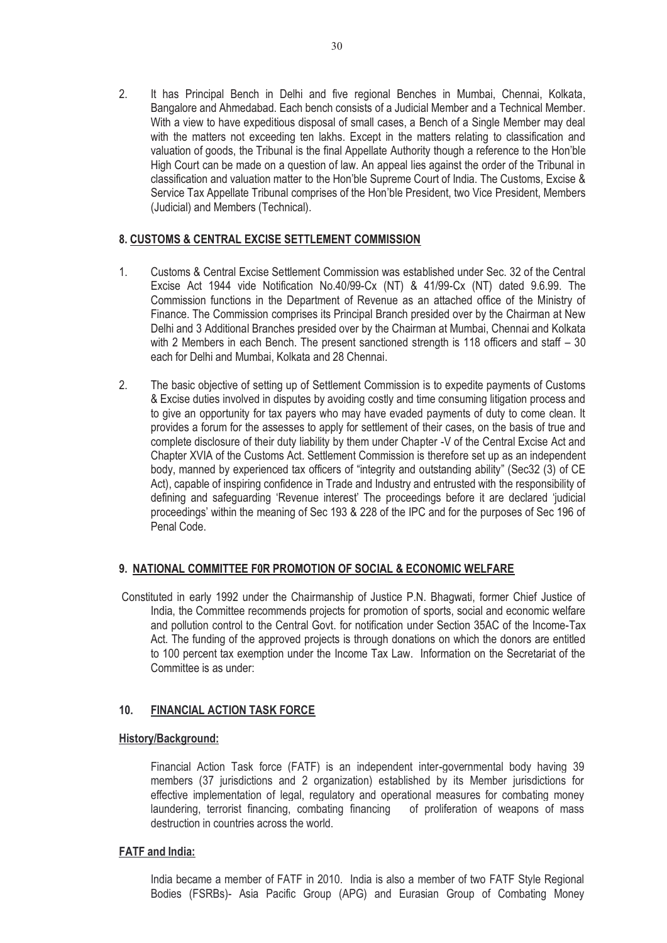2. It has Principal Bench in Delhi and five regional Benches in Mumbai, Chennai, Kolkata, Bangalore and Ahmedabad. Each bench consists of a Judicial Member and a Technical Member. With a view to have expeditious disposal of small cases, a Bench of a Single Member may deal with the matters not exceeding ten lakhs. Except in the matters relating to classification and valuation of goods, the Tribunal is the final Appellate Authority though a reference to the Hon'ble High Court can be made on a question of law. An appeal lies against the order of the Tribunal in classification and valuation matter to the Hon'ble Supreme Court of India. The Customs, Excise & Service Tax Appellate Tribunal comprises of the Hon'ble President, two Vice President, Members (Judicial) and Members (Technical).

#### **8. CUSTOMS & CENTRAL EXCISE SETTLEMENT COMMISSION**

- 1. Customs & Central Excise Settlement Commission was established under Sec. 32 of the Central Excise Act 1944 vide Notification No.40/99-Cx (NT) & 41/99-Cx (NT) dated 9.6.99. The Commission functions in the Department of Revenue as an attached office of the Ministry of Finance. The Commission comprises its Principal Branch presided over by the Chairman at New Delhi and 3 Additional Branches presided over by the Chairman at Mumbai, Chennai and Kolkata with 2 Members in each Bench. The present sanctioned strength is 118 officers and staff – 30 each for Delhi and Mumbai, Kolkata and 28 Chennai.
- 2. The basic objective of setting up of Settlement Commission is to expedite payments of Customs & Excise duties involved in disputes by avoiding costly and time consuming litigation process and to give an opportunity for tax payers who may have evaded payments of duty to come clean. It provides a forum for the assesses to apply for settlement of their cases, on the basis of true and complete disclosure of their duty liability by them under Chapter -V of the Central Excise Act and Chapter XVIA of the Customs Act. Settlement Commission is therefore set up as an independent body, manned by experienced tax officers of "integrity and outstanding ability" (Sec32 (3) of CE Act), capable of inspiring confidence in Trade and Industry and entrusted with the responsibility of defining and safeguarding 'Revenue interest' The proceedings before it are declared 'judicial proceedings' within the meaning of Sec 193 & 228 of the IPC and for the purposes of Sec 196 of Penal Code.

#### **9. NATIONAL COMMITTEE F0R PROMOTION OF SOCIAL & ECONOMIC WELFARE**

 Constituted in early 1992 under the Chairmanship of Justice P.N. Bhagwati, former Chief Justice of India, the Committee recommends projects for promotion of sports, social and economic welfare and pollution control to the Central Govt. for notification under Section 35AC of the Income-Tax Act. The funding of the approved projects is through donations on which the donors are entitled to 100 percent tax exemption under the Income Tax Law. Information on the Secretariat of the Committee is as under:

## **10. FINANCIAL ACTION TASK FORCE**

#### **History/Background:**

 Financial Action Task force (FATF) is an independent inter-governmental body having 39 members (37 jurisdictions and 2 organization) established by its Member jurisdictions for effective implementation of legal, regulatory and operational measures for combating money laundering, terrorist financing, combating financing of proliferation of weapons of mass destruction in countries across the world.

#### **FATF and India:**

 India became a member of FATF in 2010. India is also a member of two FATF Style Regional Bodies (FSRBs)- Asia Pacific Group (APG) and Eurasian Group of Combating Money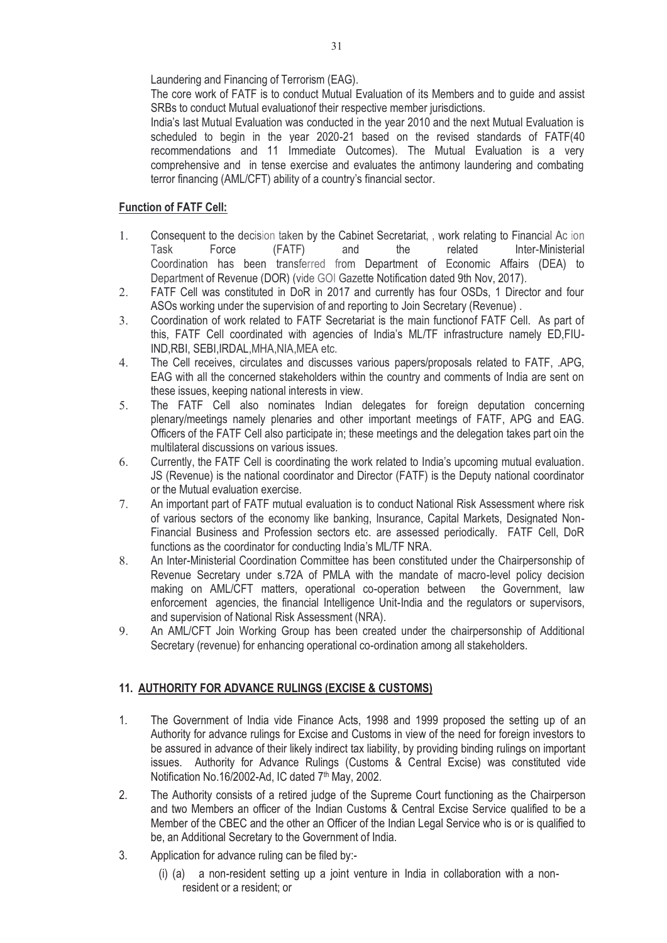Laundering and Financing of Terrorism (EAG).

 The core work of FATF is to conduct Mutual Evaluation of its Members and to guide and assist SRBs to conduct Mutual evaluationof their respective member jurisdictions.

 India's last Mutual Evaluation was conducted in the year 2010 and the next Mutual Evaluation is scheduled to begin in the year 2020-21 based on the revised standards of FATF(40 recommendations and 11 Immediate Outcomes). The Mutual Evaluation is a very comprehensive and in tense exercise and evaluates the antimony laundering and combating terror financing (AML/CFT) ability of a country's financial sector.

## **Function of FATF Cell:**

- 1. Consequent to the decision taken by the Cabinet Secretariat, , work relating to Financial Ac ion Task Force (FATF) and the related Inter-Ministerial Coordination has been transferred from Department of Economic Affairs (DEA) to Department of Revenue (DOR) (vide GOI Gazette Notification dated 9th Nov, 2017).
- 2. FATF Cell was constituted in DoR in 2017 and currently has four OSDs, 1 Director and four ASOs working under the supervision of and reporting to Join Secretary (Revenue) .
- 3. Coordination of work related to FATF Secretariat is the main functionof FATF Cell. As part of this, FATF Cell coordinated with agencies of India's ML/TF infrastructure namely ED,FIU-IND,RBI, SEBI,IRDAL,MHA,NIA,MEA etc.
- 4. The Cell receives, circulates and discusses various papers/proposals related to FATF, .APG, EAG with all the concerned stakeholders within the country and comments of India are sent on these issues, keeping national interests in view.
- 5. The FATF Cell also nominates Indian delegates for foreign deputation concerning plenary/meetings namely plenaries and other important meetings of FATF, APG and EAG. Officers of the FATF Cell also participate in; these meetings and the delegation takes part oin the multilateral discussions on various issues.
- 6. Currently, the FATF Cell is coordinating the work related to India's upcoming mutual evaluation. JS (Revenue) is the national coordinator and Director (FATF) is the Deputy national coordinator or the Mutual evaluation exercise.
- 7. An important part of FATF mutual evaluation is to conduct National Risk Assessment where risk of various sectors of the economy like banking, Insurance, Capital Markets, Designated Non-Financial Business and Profession sectors etc. are assessed periodically. FATF Cell, DoR functions as the coordinator for conducting India's ML/TF NRA.
- 8. An Inter-Ministerial Coordination Committee has been constituted under the Chairpersonship of Revenue Secretary under s.72A of PMLA with the mandate of macro-level policy decision making on AML/CFT matters, operational co-operation between the Government, law enforcement agencies, the financial Intelligence Unit-India and the regulators or supervisors, and supervision of National Risk Assessment (NRA).
- 9. An AML/CFT Join Working Group has been created under the chairpersonship of Additional Secretary (revenue) for enhancing operational co-ordination among all stakeholders.

# **11. AUTHORITY FOR ADVANCE RULINGS (EXCISE & CUSTOMS)**

- 1. The Government of India vide Finance Acts, 1998 and 1999 proposed the setting up of an Authority for advance rulings for Excise and Customs in view of the need for foreign investors to be assured in advance of their likely indirect tax liability, by providing binding rulings on important issues. Authority for Advance Rulings (Customs & Central Excise) was constituted vide Notification No.16/2002-Ad, IC dated 7<sup>th</sup> May, 2002.
- 2. The Authority consists of a retired judge of the Supreme Court functioning as the Chairperson and two Members an officer of the Indian Customs & Central Excise Service qualified to be a Member of the CBEC and the other an Officer of the Indian Legal Service who is or is qualified to be, an Additional Secretary to the Government of India.
- 3. Application for advance ruling can be filed by:-
	- (i) (a) a non-resident setting up a joint venture in India in collaboration with a nonresident or a resident; or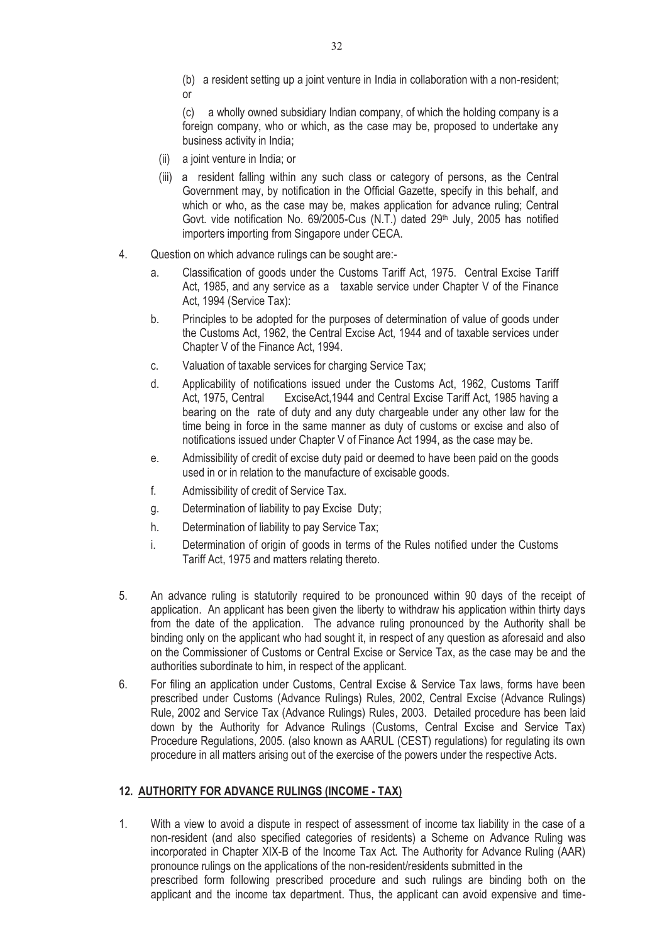(b) a resident setting up a joint venture in India in collaboration with a non-resident; or

(c) a wholly owned subsidiary Indian company, of which the holding company is a foreign company, who or which, as the case may be, proposed to undertake any business activity in India;

- (ii) a joint venture in India; or
- (iii) a resident falling within any such class or category of persons, as the Central Government may, by notification in the Official Gazette, specify in this behalf, and which or who, as the case may be, makes application for advance ruling; Central Govt. vide notification No. 69/2005-Cus (N.T.) dated 29<sup>th</sup> July, 2005 has notified importers importing from Singapore under CECA.
- 4. Question on which advance rulings can be sought are:
	- a. Classification of goods under the Customs Tariff Act, 1975. Central Excise Tariff Act, 1985, and any service as a taxable service under Chapter V of the Finance Act, 1994 (Service Tax):
	- b. Principles to be adopted for the purposes of determination of value of goods under the Customs Act, 1962, the Central Excise Act, 1944 and of taxable services under Chapter V of the Finance Act, 1994.
	- c. Valuation of taxable services for charging Service Tax;
	- d. Applicability of notifications issued under the Customs Act, 1962, Customs Tariff ExciseAct, 1944 and Central Excise Tariff Act, 1985 having a bearing on the rate of duty and any duty chargeable under any other law for the time being in force in the same manner as duty of customs or excise and also of notifications issued under Chapter V of Finance Act 1994, as the case may be.
	- e. Admissibility of credit of excise duty paid or deemed to have been paid on the goods used in or in relation to the manufacture of excisable goods.
	- f. Admissibility of credit of Service Tax.
	- g. Determination of liability to pay Excise Duty;
	- h. Determination of liability to pay Service Tax;
	- i. Determination of origin of goods in terms of the Rules notified under the Customs Tariff Act, 1975 and matters relating thereto.
- 5. An advance ruling is statutorily required to be pronounced within 90 days of the receipt of application. An applicant has been given the liberty to withdraw his application within thirty days from the date of the application. The advance ruling pronounced by the Authority shall be binding only on the applicant who had sought it, in respect of any question as aforesaid and also on the Commissioner of Customs or Central Excise or Service Tax, as the case may be and the authorities subordinate to him, in respect of the applicant.
- 6. For filing an application under Customs, Central Excise & Service Tax laws, forms have been prescribed under Customs (Advance Rulings) Rules, 2002, Central Excise (Advance Rulings) Rule, 2002 and Service Tax (Advance Rulings) Rules, 2003. Detailed procedure has been laid down by the Authority for Advance Rulings (Customs, Central Excise and Service Tax) Procedure Regulations, 2005. (also known as AARUL (CEST) regulations) for regulating its own procedure in all matters arising out of the exercise of the powers under the respective Acts.

#### **12. AUTHORITY FOR ADVANCE RULINGS (INCOME - TAX)**

1. With a view to avoid a dispute in respect of assessment of income tax liability in the case of a non-resident (and also specified categories of residents) a Scheme on Advance Ruling was incorporated in Chapter XIX-B of the Income Tax Act. The Authority for Advance Ruling (AAR) pronounce rulings on the applications of the non-resident/residents submitted in the prescribed form following prescribed procedure and such rulings are binding both on the applicant and the income tax department. Thus, the applicant can avoid expensive and time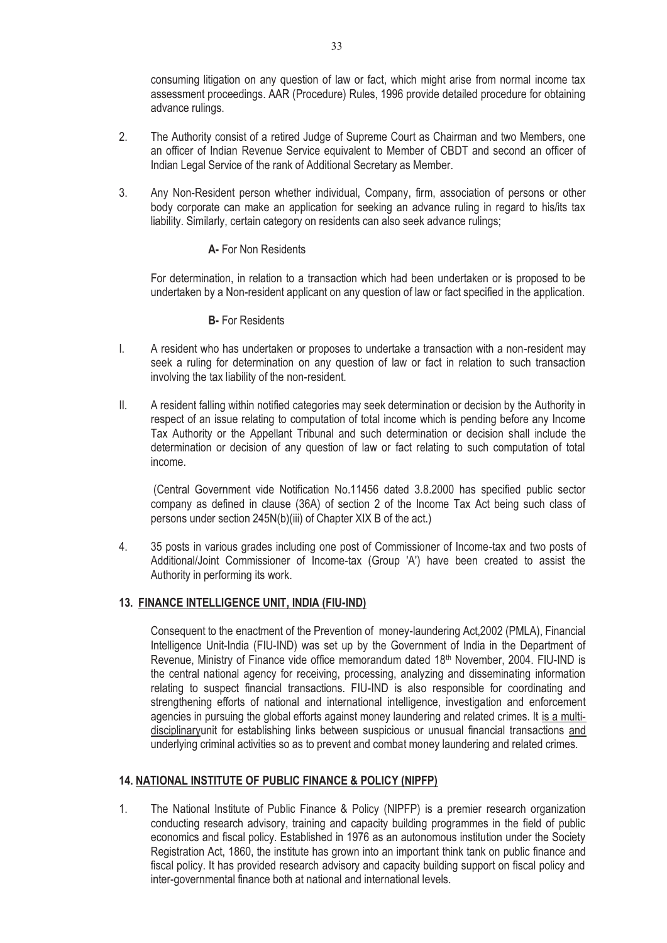consuming litigation on any question of law or fact, which might arise from normal income tax assessment proceedings. AAR (Procedure) Rules, 1996 provide detailed procedure for obtaining advance rulings.

- 2. The Authority consist of a retired Judge of Supreme Court as Chairman and two Members, one an officer of Indian Revenue Service equivalent to Member of CBDT and second an officer of Indian Legal Service of the rank of Additional Secretary as Member.
- 3. Any Non-Resident person whether individual, Company, firm, association of persons or other body corporate can make an application for seeking an advance ruling in regard to his/its tax liability. Similarly, certain category on residents can also seek advance rulings;

#### **A-** For Non Residents

 For determination, in relation to a transaction which had been undertaken or is proposed to be undertaken by a Non-resident applicant on any question of law or fact specified in the application.

#### **B-** For Residents

- I. A resident who has undertaken or proposes to undertake a transaction with a non-resident may seek a ruling for determination on any question of law or fact in relation to such transaction involving the tax liability of the non-resident.
- II. A resident falling within notified categories may seek determination or decision by the Authority in respect of an issue relating to computation of total income which is pending before any Income Tax Authority or the Appellant Tribunal and such determination or decision shall include the determination or decision of any question of law or fact relating to such computation of total income.

 (Central Government vide Notification No.11456 dated 3.8.2000 has specified public sector company as defined in clause (36A) of section 2 of the Income Tax Act being such class of persons under section 245N(b)(iii) of Chapter XIX B of the act.)

4. 35 posts in various grades including one post of Commissioner of Income-tax and two posts of Additional/Joint Commissioner of Income-tax (Group 'A') have been created to assist the Authority in performing its work.

#### **13. FINANCE INTELLIGENCE UNIT, INDIA (FIU-IND)**

Consequent to the enactment of the Prevention of money-laundering Act,2002 (PMLA), Financial Intelligence Unit-India (FIU-IND) was set up by the Government of India in the Department of Revenue, Ministry of Finance vide office memorandum dated 18th November, 2004. FIU-IND is the central national agency for receiving, processing, analyzing and disseminating information relating to suspect financial transactions. FIU-IND is also responsible for coordinating and strengthening efforts of national and international intelligence, investigation and enforcement agencies in pursuing the global efforts against money laundering and related crimes. It is a multidisciplinaryunit for establishing links between suspicious or unusual financial transactions and underlying criminal activities so as to prevent and combat money laundering and related crimes.

#### **14. NATIONAL INSTITUTE OF PUBLIC FINANCE & POLICY (NIPFP)**

1. The National Institute of Public Finance & Policy (NIPFP) is a premier research organization conducting research advisory, training and capacity building programmes in the field of public economics and fiscal policy. Established in 1976 as an autonomous institution under the Society Registration Act, 1860, the institute has grown into an important think tank on public finance and fiscal policy. It has provided research advisory and capacity building support on fiscal policy and inter-governmental finance both at national and international levels.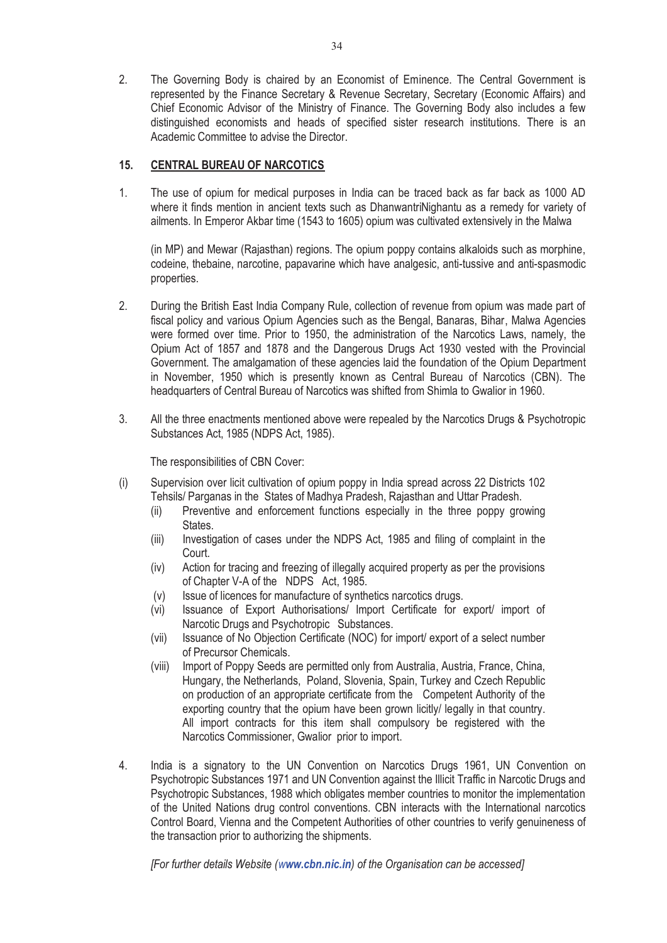2. The Governing Body is chaired by an Economist of Eminence. The Central Government is represented by the Finance Secretary & Revenue Secretary, Secretary (Economic Affairs) and Chief Economic Advisor of the Ministry of Finance. The Governing Body also includes a few distinguished economists and heads of specified sister research institutions. There is an Academic Committee to advise the Director.

#### **15. CENTRAL BUREAU OF NARCOTICS**

1. The use of opium for medical purposes in India can be traced back as far back as 1000 AD where it finds mention in ancient texts such as DhanwantriNighantu as a remedy for variety of ailments. In Emperor Akbar time (1543 to 1605) opium was cultivated extensively in the Malwa

(in MP) and Mewar (Rajasthan) regions. The opium poppy contains alkaloids such as morphine, codeine, thebaine, narcotine, papavarine which have analgesic, anti-tussive and anti-spasmodic properties.

- 2. During the British East India Company Rule, collection of revenue from opium was made part of fiscal policy and various Opium Agencies such as the Bengal, Banaras, Bihar, Malwa Agencies were formed over time. Prior to 1950, the administration of the Narcotics Laws, namely, the Opium Act of 1857 and 1878 and the Dangerous Drugs Act 1930 vested with the Provincial Government. The amalgamation of these agencies laid the foundation of the Opium Department in November, 1950 which is presently known as Central Bureau of Narcotics (CBN). The headquarters of Central Bureau of Narcotics was shifted from Shimla to Gwalior in 1960.
- 3. All the three enactments mentioned above were repealed by the Narcotics Drugs & Psychotropic Substances Act, 1985 (NDPS Act, 1985).

The responsibilities of CBN Cover:

- (i) Supervision over licit cultivation of opium poppy in India spread across 22 Districts 102 Tehsils/ Parganas in the States of Madhya Pradesh, Rajasthan and Uttar Pradesh.
	- (ii) Preventive and enforcement functions especially in the three poppy growing **States**
	- (iii) Investigation of cases under the NDPS Act, 1985 and filing of complaint in the Court.
	- (iv) Action for tracing and freezing of illegally acquired property as per the provisions of Chapter V-A of the NDPS Act, 1985.
	- (v) Issue of licences for manufacture of synthetics narcotics drugs.
	- (vi) Issuance of Export Authorisations/ Import Certificate for export/ import of Narcotic Drugs and Psychotropic Substances.
	- (vii) Issuance of No Objection Certificate (NOC) for import/ export of a select number of Precursor Chemicals.
	- (viii) Import of Poppy Seeds are permitted only from Australia, Austria, France, China, Hungary, the Netherlands, Poland, Slovenia, Spain, Turkey and Czech Republic on production of an appropriate certificate from the Competent Authority of the exporting country that the opium have been grown licitly/ legally in that country. All import contracts for this item shall compulsory be registered with the Narcotics Commissioner, Gwalior prior to import.
- 4. India is a signatory to the UN Convention on Narcotics Drugs 1961, UN Convention on Psychotropic Substances 1971 and UN Convention against the Illicit Traffic in Narcotic Drugs and Psychotropic Substances, 1988 which obligates member countries to monitor the implementation of the United Nations drug control conventions. CBN interacts with the International narcotics Control Board, Vienna and the Competent Authorities of other countries to verify genuineness of the transaction prior to authorizing the shipments.

*[For further details Website (www.cbn.nic.in) of the Organisation can be accessed]*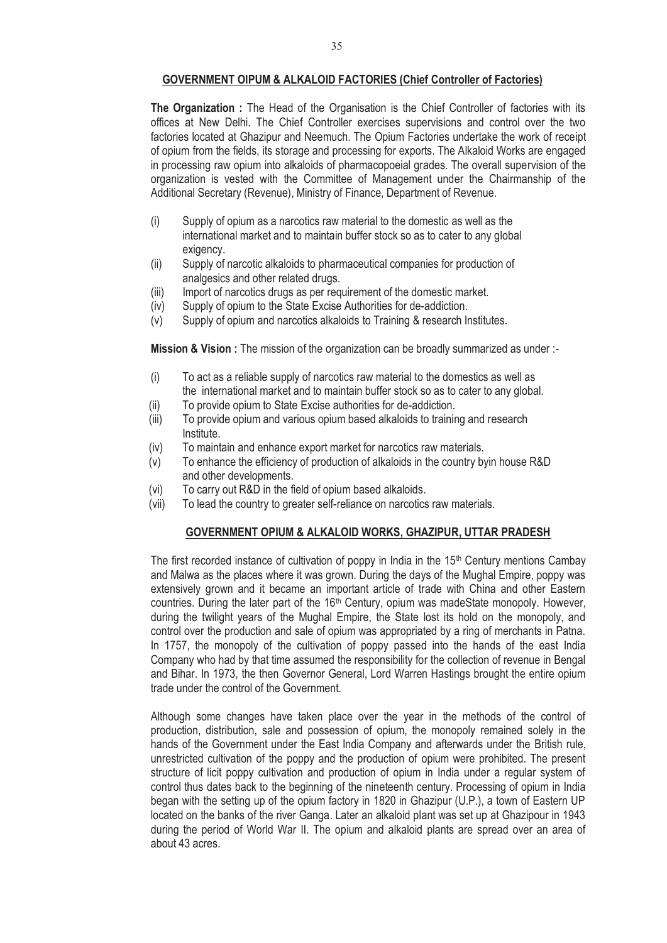#### **GOVERNMENT OIPUM & ALKALOID FACTORIES (Chief Controller of Factories)**

**The Organization :** The Head of the Organisation is the Chief Controller of factories with its offices at New Delhi. The Chief Controller exercises supervisions and control over the two factories located at Ghazipur and Neemuch. The Opium Factories undertake the work of receipt of opium from the fields, its storage and processing for exports. The Alkaloid Works are engaged in processing raw opium into alkaloids of pharmacopoeial grades. The overall supervision of the organization is vested with the Committee of Management under the Chairmanship of the Additional Secretary (Revenue), Ministry of Finance, Department of Revenue.

- (i) Supply of opium as a narcotics raw material to the domestic as well as the international market and to maintain buffer stock so as to cater to any global exigency.
- (ii) Supply of narcotic alkaloids to pharmaceutical companies for production of analgesics and other related drugs.
- (iii) Import of narcotics drugs as per requirement of the domestic market.
- (iv) Supply of opium to the State Excise Authorities for de-addiction.
- (v) Supply of opium and narcotics alkaloids to Training & research Institutes.

**Mission & Vision :** The mission of the organization can be broadly summarized as under :-

- (i) To act as a reliable supply of narcotics raw material to the domestics as well as the international market and to maintain buffer stock so as to cater to any global.
- (ii) To provide opium to State Excise authorities for de-addiction.
- (iii) To provide opium and various opium based alkaloids to training and research Institute.
- (iv) To maintain and enhance export market for narcotics raw materials.
- (v) To enhance the efficiency of production of alkaloids in the country byin house R&D and other developments.
- (vi) To carry out R&D in the field of opium based alkaloids.
- (vii) To lead the country to greater self-reliance on narcotics raw materials.

#### **GOVERNMENT OPIUM & ALKALOID WORKS, GHAZIPUR, UTTAR PRADESH**

The first recorded instance of cultivation of poppy in India in the 15<sup>th</sup> Century mentions Cambay and Malwa as the places where it was grown. During the days of the Mughal Empire, poppy was extensively grown and it became an important article of trade with China and other Eastern countries. During the later part of the 16<sup>th</sup> Century, opium was madeState monopoly. However, during the twilight years of the Mughal Empire, the State lost its hold on the monopoly, and control over the production and sale of opium was appropriated by a ring of merchants in Patna. In 1757, the monopoly of the cultivation of poppy passed into the hands of the east India Company who had by that time assumed the responsibility for the collection of revenue in Bengal and Bihar. In 1973, the then Governor General, Lord Warren Hastings brought the entire opium trade under the control of the Government.

Although some changes have taken place over the year in the methods of the control of production, distribution, sale and possession of opium, the monopoly remained solely in the hands of the Government under the East India Company and afterwards under the British rule, unrestricted cultivation of the poppy and the production of opium were prohibited. The present structure of licit poppy cultivation and production of opium in India under a regular system of control thus dates back to the beginning of the nineteenth century. Processing of opium in India began with the setting up of the opium factory in 1820 in Ghazipur (U.P.), a town of Eastern UP located on the banks of the river Ganga. Later an alkaloid plant was set up at Ghazipour in 1943 during the period of World War II. The opium and alkaloid plants are spread over an area of about 43 acres.